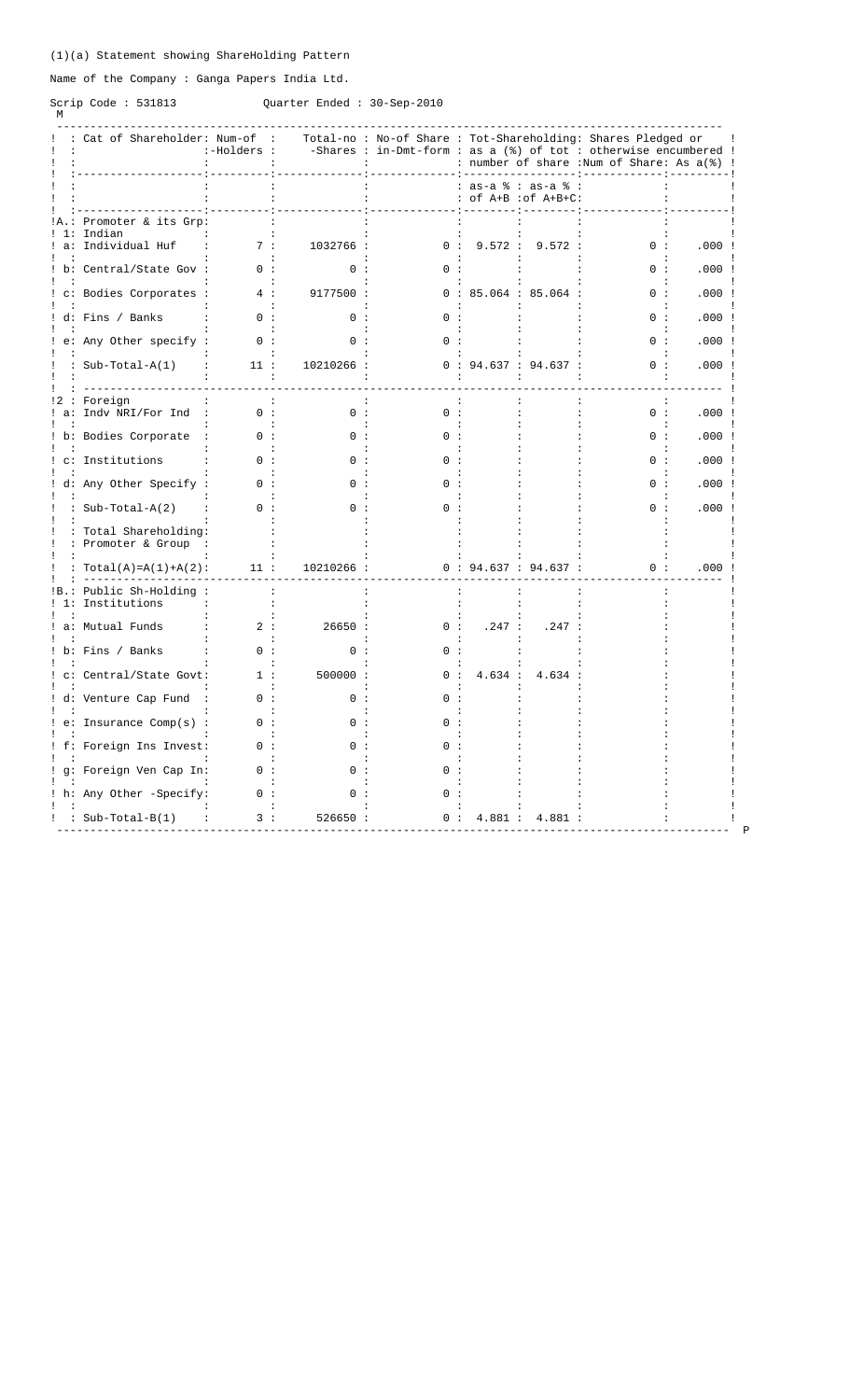## (1)(a) Statement showing ShareHolding Pattern

Name of the Company : Ganga Papers India Ltd.

# Scrip Code : 531813<br>M

Quarter Ended : 30-Sep-2010

|              | : Cat of Shareholder: Num-of :              | :-Holders :               |            | Total-no: No-of Share: Tot-Shareholding: Shares Pledged or<br>-Shares : in-Dmt-form : as a $(%)$ of tot : otherwise encumbered ! |                   |                      | : number of share :Num of Share: As a(%) ! |       |
|--------------|---------------------------------------------|---------------------------|------------|----------------------------------------------------------------------------------------------------------------------------------|-------------------|----------------------|--------------------------------------------|-------|
|              |                                             |                           |            |                                                                                                                                  | : as-a % : as-a % | : of A+B : of A+B+C: |                                            |       |
|              | Promoter & its Grp:<br>Indian               |                           |            |                                                                                                                                  |                   |                      |                                            |       |
| a:           | Individual Huf                              | 7:                        | 1032766 :  | 0:                                                                                                                               | 9.572 :           | 9.572:               | 0:                                         | .000: |
|              | ! b: Central/State Gov :                    | 0:                        | ∩ :        |                                                                                                                                  |                   |                      | n :                                        | .000: |
|              | c: Bodies Corporates :                      | 4:<br>$\cdot$ :           | 9177500 :  |                                                                                                                                  |                   | 0:85.064:85.064:     | 0:                                         | .000: |
|              | ! d: Fins / Banks                           | 0:                        | 0:         |                                                                                                                                  |                   |                      | 0:                                         | .000: |
|              | e: Any Other specify :                      | 0:                        | ი :        | 0 :                                                                                                                              |                   |                      | 0:                                         | .000: |
|              | : $Sub-Total-A(1)$                          | 11:                       | 10210266 : |                                                                                                                                  |                   | 0: 94.637: 94.637:   | 0:                                         | .000: |
| $a$ :        | Foreign<br>Indv NRI/For Ind                 | $\cdot$ :<br>0:           | 0:         | 0:                                                                                                                               |                   |                      | 0:                                         | .000: |
|              | ! b: Bodies Corporate                       | 0:                        | 0:         | ∩ :                                                                                                                              |                   |                      | 0:                                         | .000: |
|              | c: Institutions                             | n :                       |            |                                                                                                                                  |                   |                      | $\cap$                                     | .000: |
|              | d: Any Other Specify :                      | 0:                        | ი :        |                                                                                                                                  |                   |                      | 0:                                         | .000: |
|              | : $Sub-Total-A(2)$                          | 0:                        | ი :        | ი :                                                                                                                              |                   |                      | 0:                                         | .000: |
|              | : Total Shareholding:<br>: Promoter & Group |                           |            |                                                                                                                                  |                   |                      |                                            |       |
|              | $Total(A) = A(1) + A(2)$ :                  | 11:                       | 10210266 : |                                                                                                                                  |                   | 0:94.637:94.637:     | 0:                                         | .000  |
| !B.:<br>! 1: | Public Sh-Holding:<br>Institutions          | $\cdot$<br>$\ddot{\cdot}$ | $\cdot$    |                                                                                                                                  | $\cdot$           | $\cdot$              |                                            |       |
|              | a: Mutual Funds                             | 2:                        | 26650:     | 0:                                                                                                                               | .247:             | .247                 |                                            |       |
|              | b: Fins / Banks                             | 0:                        | 0:         | n :                                                                                                                              |                   |                      |                                            |       |
|              | c: Central/State Govt:                      | 1:                        | 500000 :   | n :                                                                                                                              | 4.634:            | 4.634                |                                            |       |
|              | ! d: Venture Cap Fund                       | $\cdot$<br>0:             | 0:         | ი :                                                                                                                              |                   |                      |                                            |       |
|              | e: Insurance Comp(s) :                      | 0:                        | ი :        | $^{\circ}$                                                                                                                       |                   |                      |                                            |       |
|              | ! f: Foreign Ins Invest:                    | n :                       |            |                                                                                                                                  |                   |                      |                                            |       |
|              | ! g: Foreign Ven Cap In:                    | 0:                        | n :        | <sup>n</sup>                                                                                                                     |                   |                      |                                            |       |
|              | h: Any Other -Specify:                      | 0:                        | ი :        | $($ ) :                                                                                                                          |                   |                      |                                            |       |
|              |                                             |                           |            |                                                                                                                                  |                   |                      |                                            |       |
|              | : : Sub-Total-B(1)                          | 3:                        | 526650:    | 0:                                                                                                                               |                   | 4.881 : 4.881 :      |                                            |       |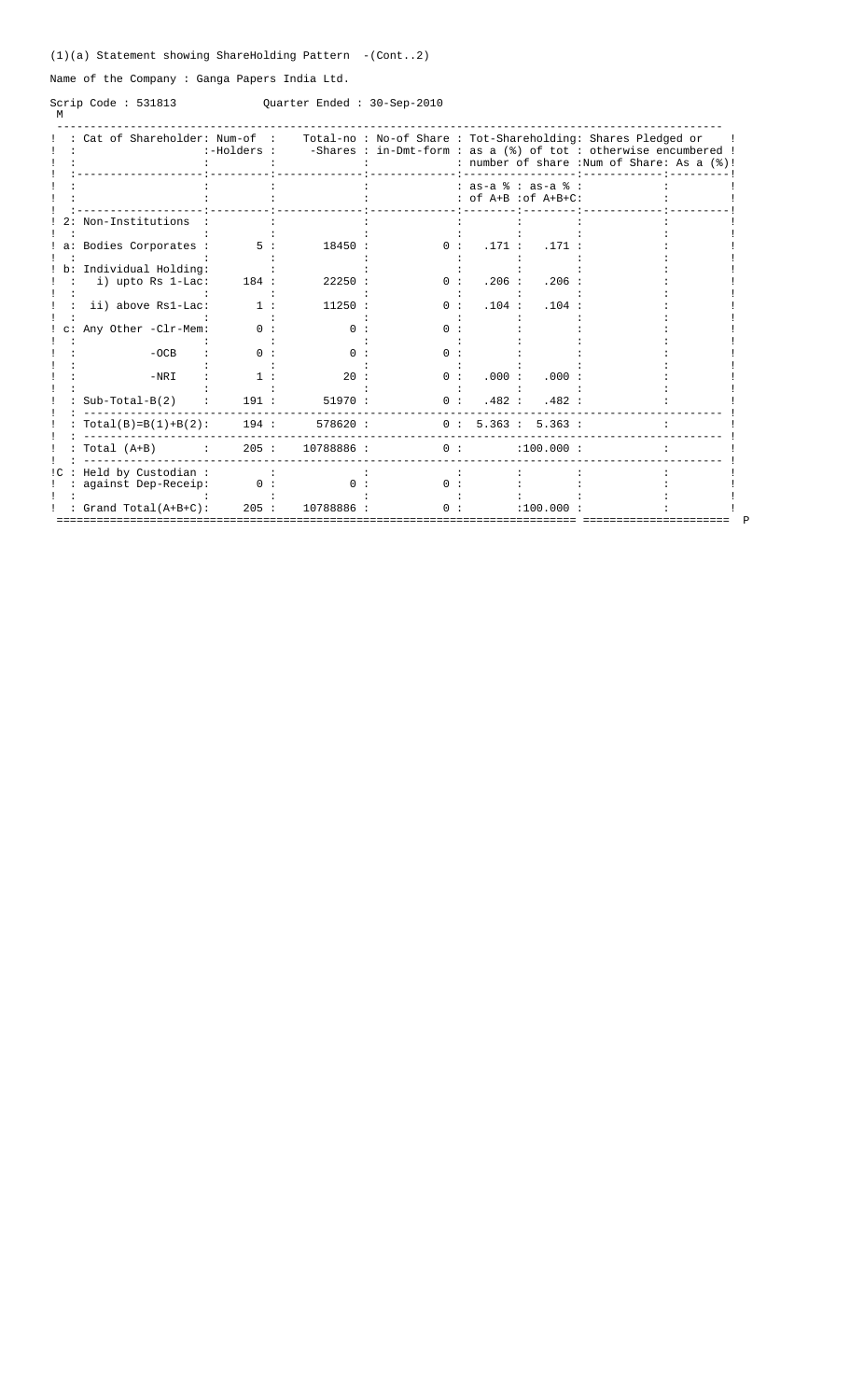## (1)(a) Statement showing ShareHolding Pattern -(Cont..2)

Name of the Company : Ganga Papers India Ltd.

Scrip Code : 531813<br>M

## Quarter Ended : 30-Sep-2010

|                           |                                                      | :-Holders : |            |     |        |                                                        | Cat of Shareholder: Num-of : Total-no : No-of Share : Tot-Shareholding: Shares Pledged or<br>-Shares : in-Dmt-form : as a (%) of tot : otherwise encumbered !<br>: number of share : Num of Share: As a (%)! |  |
|---------------------------|------------------------------------------------------|-------------|------------|-----|--------|--------------------------------------------------------|--------------------------------------------------------------------------------------------------------------------------------------------------------------------------------------------------------------|--|
|                           |                                                      |             |            |     |        | $: as-a$ $: as-a$ $:$<br>$:$ of $A+B$ $:$ of $A+B+C$ : |                                                                                                                                                                                                              |  |
|                           | 2: Non-Institutions                                  |             |            |     |        |                                                        |                                                                                                                                                                                                              |  |
|                           | : a: Bodies Corporates :                             | 5:          | 18450 :    | 0:  |        | .171: .171:                                            |                                                                                                                                                                                                              |  |
|                           | : b: Individual Holding:<br>i) upto Rs 1-Lac:        | 184:        | 22250:     | 0:  | .206:  | $.206$ :                                               |                                                                                                                                                                                                              |  |
|                           |                                                      |             |            |     |        |                                                        |                                                                                                                                                                                                              |  |
|                           | ii) above Rs1-Lac:                                   | 1:          | 11250:     | 0:  | .104 : | .104:                                                  |                                                                                                                                                                                                              |  |
| $!$ c:                    | Any Other -Clr-Mem:                                  | 0:          | 0:         | 0:  |        |                                                        |                                                                                                                                                                                                              |  |
|                           | $-OCB$                                               | 0:          | $\Omega$ : | 0:  |        |                                                        |                                                                                                                                                                                                              |  |
|                           | $-NRT$                                               | 1:          | 20:        | 0:  | .000:  | .000:                                                  |                                                                                                                                                                                                              |  |
|                           | $Sub-Total-B(2)$                                     | 191:        | 51970:     | 0:  |        | .482: .482:                                            |                                                                                                                                                                                                              |  |
|                           | : $Total(B)=B(1)+B(2)$ :                             | 194:        | 578620 :   |     |        | 0: 5.363: 5.363:                                       |                                                                                                                                                                                                              |  |
|                           | $: Total (A+B)$<br><b>Contract Contract Contract</b> | 205:        | 10788886 : | 0:  |        | :100.000:                                              |                                                                                                                                                                                                              |  |
| $\mathop{!c}\mathop{.}$ : | Held by Custodian:                                   |             |            |     |        |                                                        |                                                                                                                                                                                                              |  |
|                           | against Dep-Receip:                                  | 0:          | 0:         | 0:  |        |                                                        |                                                                                                                                                                                                              |  |
|                           | : Grand Total(A+B+C):                                | 205:        | 10788886 : | ი : |        | :100.000                                               |                                                                                                                                                                                                              |  |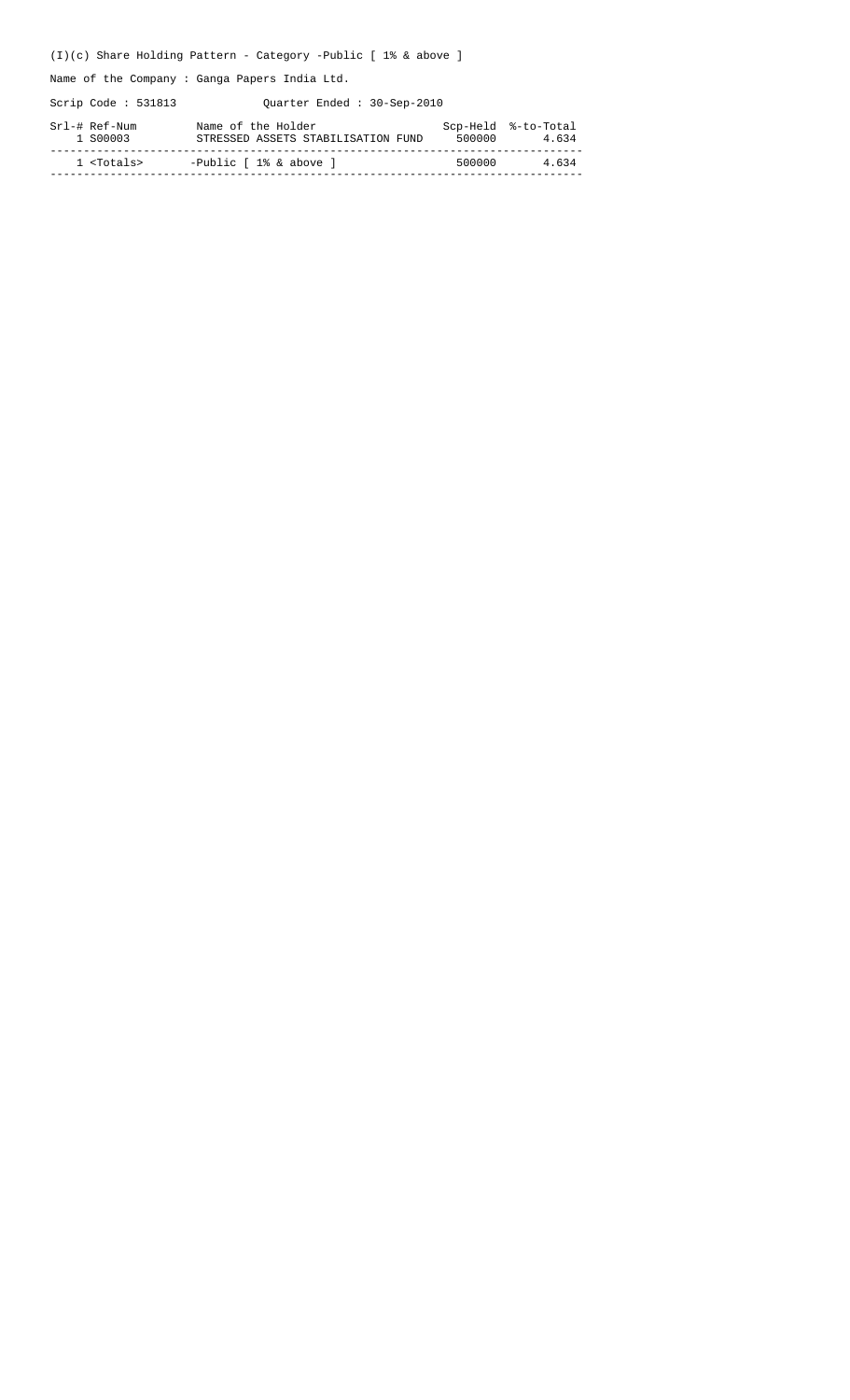## (I)(c) Share Holding Pattern - Category -Public [ 1% & above ]

Name of the Company : Ganga Papers India Ltd.

Scrip Code : 531813 Quarter Ended : 30-Sep-2010

| Srl-# Ref-Num<br>1 S00003 | Name of the Holder<br>STRESSED ASSETS STABILISATION FUND | 500000 | Scp-Held %-to-Total<br>4.634 |
|---------------------------|----------------------------------------------------------|--------|------------------------------|
| 1 <totals></totals>       | -Public $\lceil 1 \rceil$ & above $\lceil$               | 500000 | 4.634                        |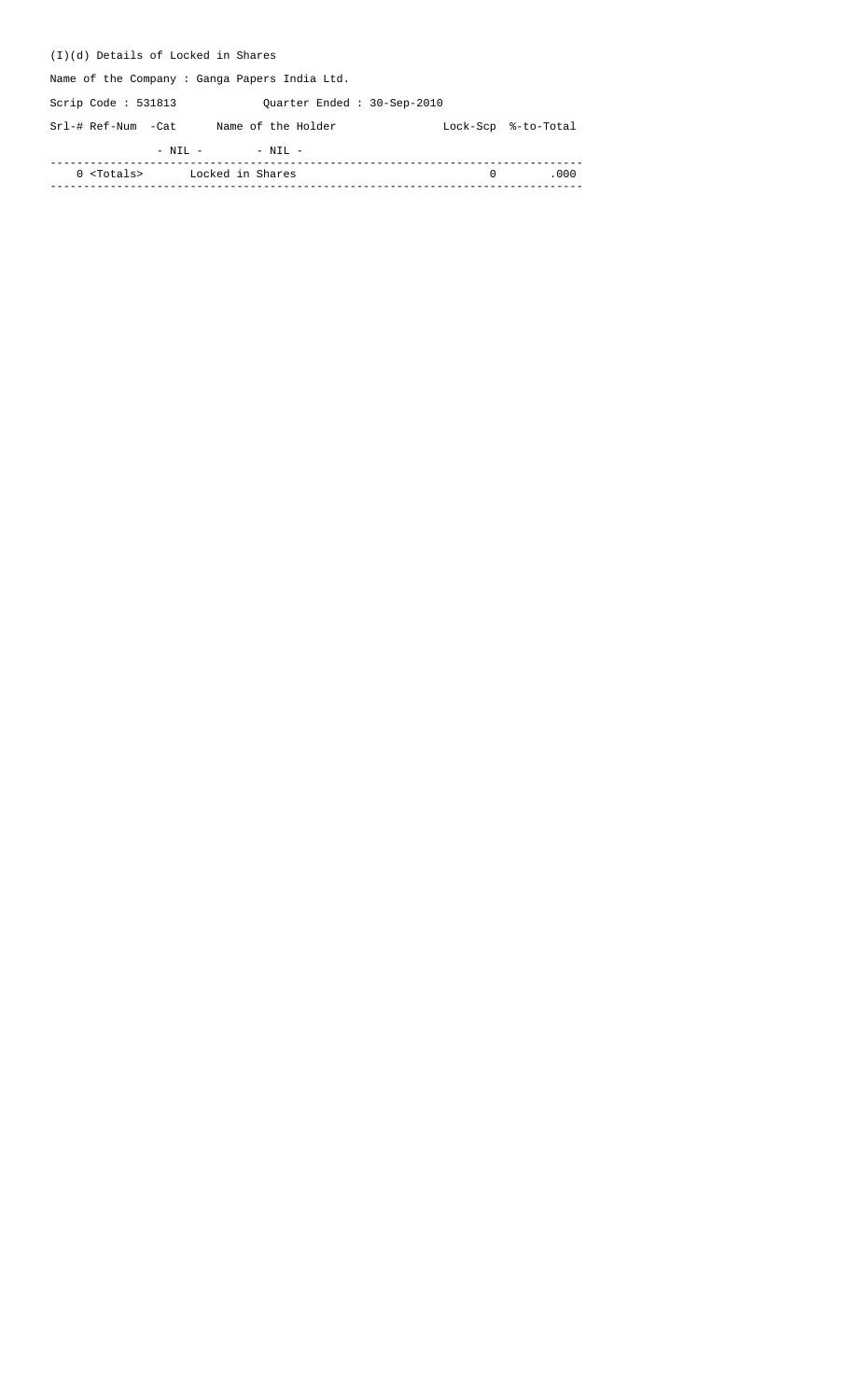| (I)(d) Details of Locked in Shares                  |          |                     |  |  |  |  |  |  |  |  |  |  |  |
|-----------------------------------------------------|----------|---------------------|--|--|--|--|--|--|--|--|--|--|--|
| Name of the Company: Ganga Papers India Ltd.        |          |                     |  |  |  |  |  |  |  |  |  |  |  |
| Scrip Code : $531813$<br>Ouarter Ended: 30-Sep-2010 |          |                     |  |  |  |  |  |  |  |  |  |  |  |
| Srl-# Ref-Num -Cat<br>Name of the Holder            |          | Lock-Scp %-to-Total |  |  |  |  |  |  |  |  |  |  |  |
| $-$ NIL $-$<br>$-$ NIL $-$                          |          |                     |  |  |  |  |  |  |  |  |  |  |  |
| 0 <totals><br/>Locked in Shares</totals>            | $\Omega$ | .000                |  |  |  |  |  |  |  |  |  |  |  |
|                                                     |          |                     |  |  |  |  |  |  |  |  |  |  |  |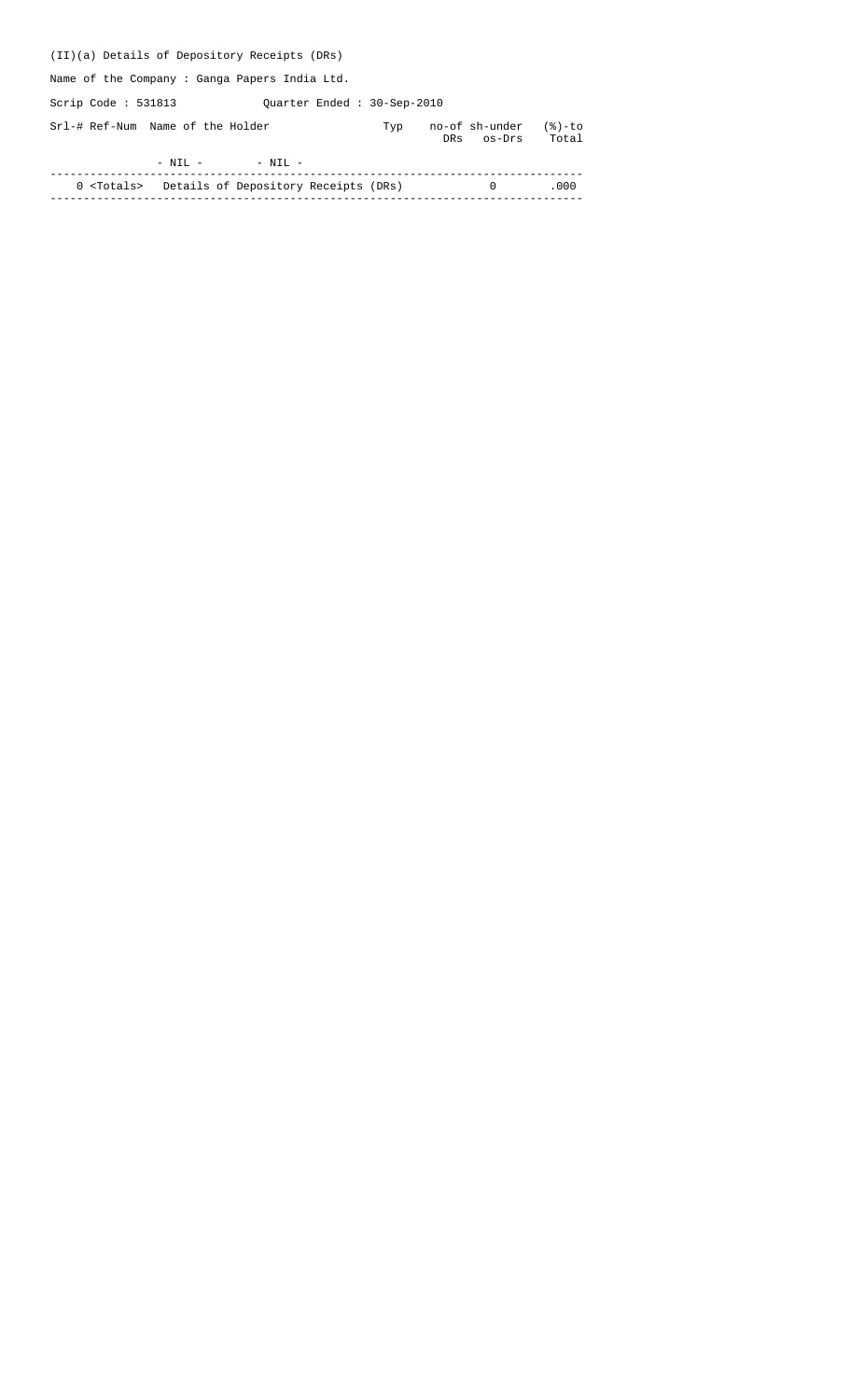| (II)(a) Details of Depository Receipts (DRs) |                            |                                 |                    |
|----------------------------------------------|----------------------------|---------------------------------|--------------------|
| Name of the Company: Ganga Papers India Ltd. |                            |                                 |                    |
| Scrip Code : $531813$                        | Quarter Ended: 30-Sep-2010 |                                 |                    |
| Srl-# Ref-Num Name of the Holder             | Typ                        | no-of sh-under<br>DRs<br>os-Drs | $(8)-$ to<br>Total |
| $-$ NIL $-$<br>$-$ NIL $-$                   |                            |                                 |                    |
|                                              |                            |                                 |                    |

 0 <Totals> Details of Depository Receipts (DRs) 0 .000 --------------------------------------------------------------------------------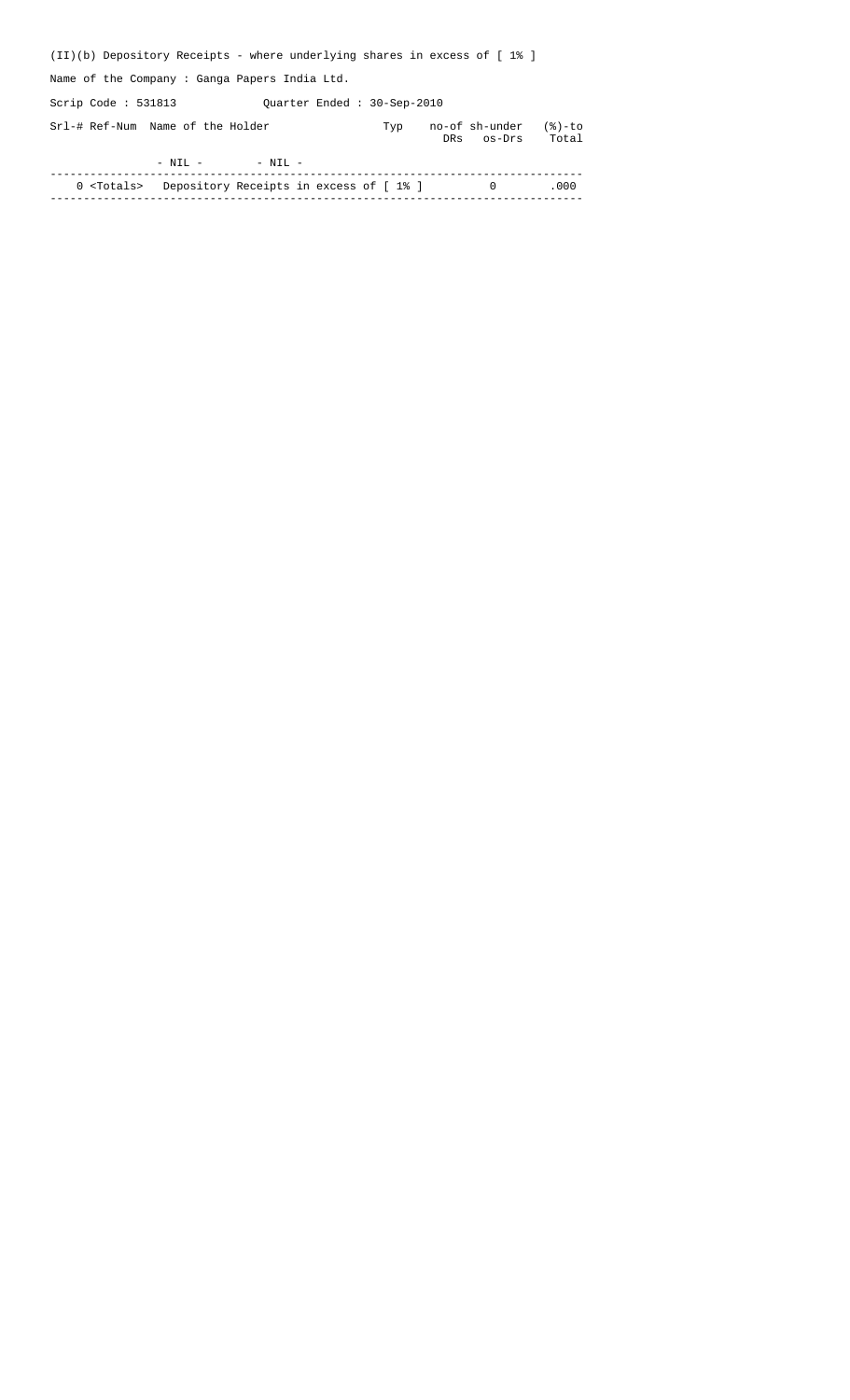| $(II)(b)$ Depository Receipts - where underlying shares in excess of $[18]$ |                            |                              |                 |
|-----------------------------------------------------------------------------|----------------------------|------------------------------|-----------------|
| Name of the Company: Ganga Papers India Ltd.                                |                            |                              |                 |
| Scrip Code : $531813$                                                       | Quarter Ended: 30-Sep-2010 |                              |                 |
| Srl-# Ref-Num Name of the Holder                                            | Typ                        | no-of sh-under<br>DRs os-Drs | (%)-to<br>Total |
| $-$ NIL $-$<br>$-$ NIL $-$                                                  |                            |                              |                 |
|                                                                             |                            |                              |                 |

 0 <Totals> Depository Receipts in excess of [ 1% ] 0 .000 --------------------------------------------------------------------------------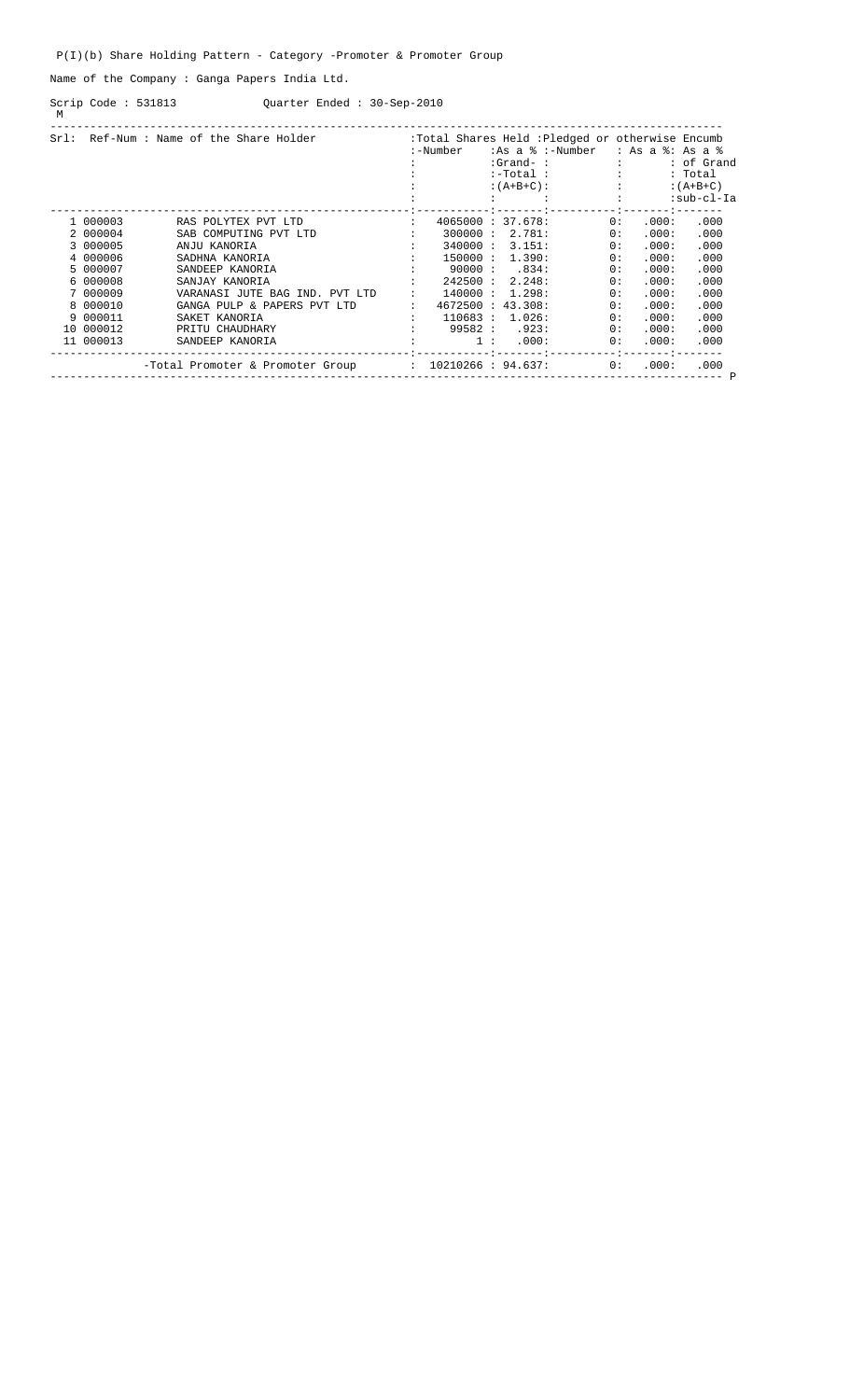## P(I)(b) Share Holding Pattern - Category -Promoter & Promoter Group

Name of the Company : Ganga Papers India Ltd.

Quarter Ended : 30-Sep-2010 Scrip Code : 531813<br>M

| Sr1: |           | Ref-Num : Name of the Share Holder                      | :Total Shares Held : Pledged or otherwise Encumb |                   |  |              |                  |                    |            |  |  |
|------|-----------|---------------------------------------------------------|--------------------------------------------------|-------------------|--|--------------|------------------|--------------------|------------|--|--|
|      |           |                                                         |                                                  | :-Number          |  |              | :As a % :-Number | $: As a 8: As a 8$ |            |  |  |
|      |           |                                                         |                                                  |                   |  | $: Grand-$ : |                  |                    | : of Grand |  |  |
|      |           |                                                         |                                                  |                   |  | $:-Total:$   |                  |                    | : Total    |  |  |
|      |           |                                                         |                                                  |                   |  | $:(A+B+C):$  |                  | <b>Barbara</b>     | $:(A+B+C)$ |  |  |
|      |           |                                                         |                                                  |                   |  |              |                  |                    | :sub-cl-Ia |  |  |
|      |           |                                                         |                                                  |                   |  |              |                  |                    |            |  |  |
|      | 1 000003  | RAS POLYTEX PVT LTD                                     | $\ddot{\phantom{a}}$                             | 4065000 : 37.678: |  |              | 0:               | .000:              | .000       |  |  |
|      | 2 000004  | SAB COMPUTING PVT LTD                                   |                                                  | 300000:           |  | 2.781:       | 0:               | .000:              | .000       |  |  |
|      | 3 000005  | ANJU KANORIA                                            |                                                  | 340000:           |  | 3.151:       | 0:               | .000:              | .000       |  |  |
|      | 4 000006  | SADHNA KANORIA                                          |                                                  | 150000:           |  | 1.390:       | 0:               | .000:              | .000       |  |  |
|      | 5 000007  | SANDEEP KANORIA                                         |                                                  | 90000:            |  | .834:        | 0:               | .000:              | .000       |  |  |
|      | 6 000008  | SANJAY KANORIA                                          |                                                  | 242500:           |  | 2.248:       | 0:               | .000:              | .000       |  |  |
|      | 7 000009  | VARANASI JUTE BAG IND. PVT LTD                          |                                                  | 140000:           |  | 1.298:       | 0:               | .000:              | .000       |  |  |
|      | 8 000010  | GANGA PULP & PAPERS PVT LTD                             |                                                  | 4672500 : 43.308: |  |              | 0:               | .000:              | .000       |  |  |
|      | 9 000011  | SAKET KANORIA                                           |                                                  | 110683:           |  | 1.026:       | 0:               | .000:              | .000       |  |  |
|      | 10 000012 | PRITU CHAUDHARY                                         |                                                  | 99582:            |  | .923:        | 0:               | .000:              | .000       |  |  |
|      | 11 000013 | SANDEEP KANORIA                                         |                                                  | 1:                |  | .000:        | 0:               | .000:              | .000       |  |  |
|      |           | $-Total Promoter & Promoter Group : 10210266 : 94.637:$ |                                                  |                   |  |              | 0:               | .000:              | .000       |  |  |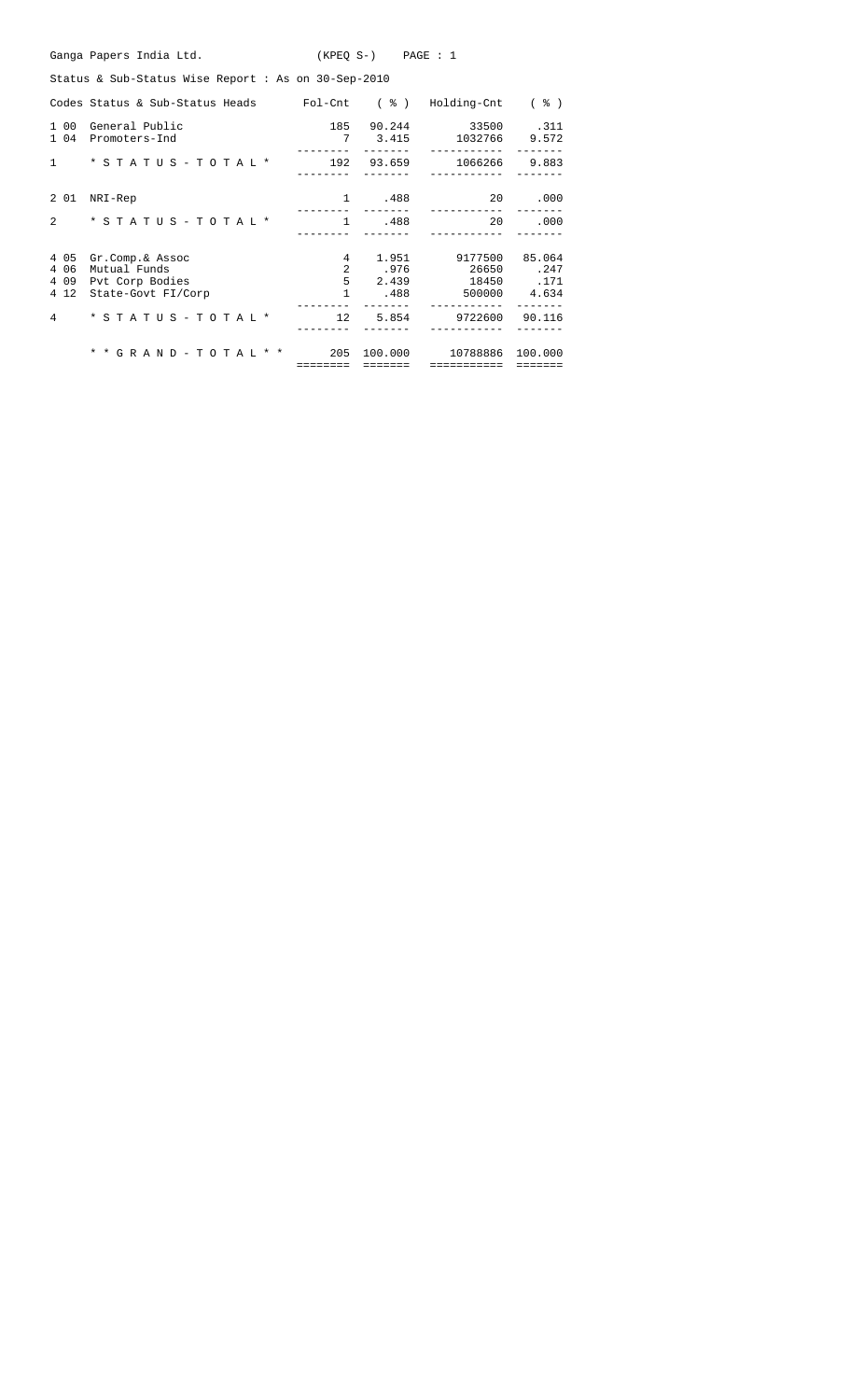|                | Ganga Papers India Ltd.<br>$(KPEO S-)$ PAGE : 1                                         |                |                 |                       |              |  |  |  |  |  |  |  |  |  |
|----------------|-----------------------------------------------------------------------------------------|----------------|-----------------|-----------------------|--------------|--|--|--|--|--|--|--|--|--|
|                | Status & Sub-Status Wise Report: As on 30-Sep-2010                                      |                |                 |                       |              |  |  |  |  |  |  |  |  |  |
|                | Codes Status & Sub-Status Heads Fol-Cnt ( $\frac{1}{6}$ ) Holding-Cnt ( $\frac{2}{3}$ ) |                |                 |                       |              |  |  |  |  |  |  |  |  |  |
| 1 00<br>1 0 4  | General Public<br>Promoters-Ind                                                         | 185<br>7       | 90.244<br>3.415 | 33500 .311<br>1032766 | 9.572        |  |  |  |  |  |  |  |  |  |
| $\mathbf{1}$   | $*$ STATUS - TOTAL $*$                                                                  |                | 192 93.659      | 1066266               | 9.883        |  |  |  |  |  |  |  |  |  |
| 2 0 1          | NRI-Rep                                                                                 | 1              | .488            | 20                    | .000         |  |  |  |  |  |  |  |  |  |
| $\overline{2}$ | $*$ STATUS - TOTAL $*$                                                                  | <sup>1</sup>   | .488            | 20                    | .000         |  |  |  |  |  |  |  |  |  |
| 4 0 5          | Gr.Comp.& Assoc                                                                         | 4              | 1.951           | 9177500               | 85.064       |  |  |  |  |  |  |  |  |  |
| 4 0 6          | Mutual Funds                                                                            | $\overline{2}$ | .976            | 26650.247             |              |  |  |  |  |  |  |  |  |  |
| 4 0 9          | Pvt Corp Bodies                                                                         |                | 5 2.439         | 18450                 | .171         |  |  |  |  |  |  |  |  |  |
| 4 1 2          | State-Govt FI/Corp                                                                      | 1              | .488            |                       | 500000 4.634 |  |  |  |  |  |  |  |  |  |
| 4              | * S T A T U S - T O T A L *                                                             | 12             | 5.854           | 9722600               | 90.116       |  |  |  |  |  |  |  |  |  |
|                | * * G R A N D - T O T A L * * 205                                                       |                | 100.000         | 10788886              | 100.000      |  |  |  |  |  |  |  |  |  |
|                |                                                                                         | ========       | --------        | ===========           | =======      |  |  |  |  |  |  |  |  |  |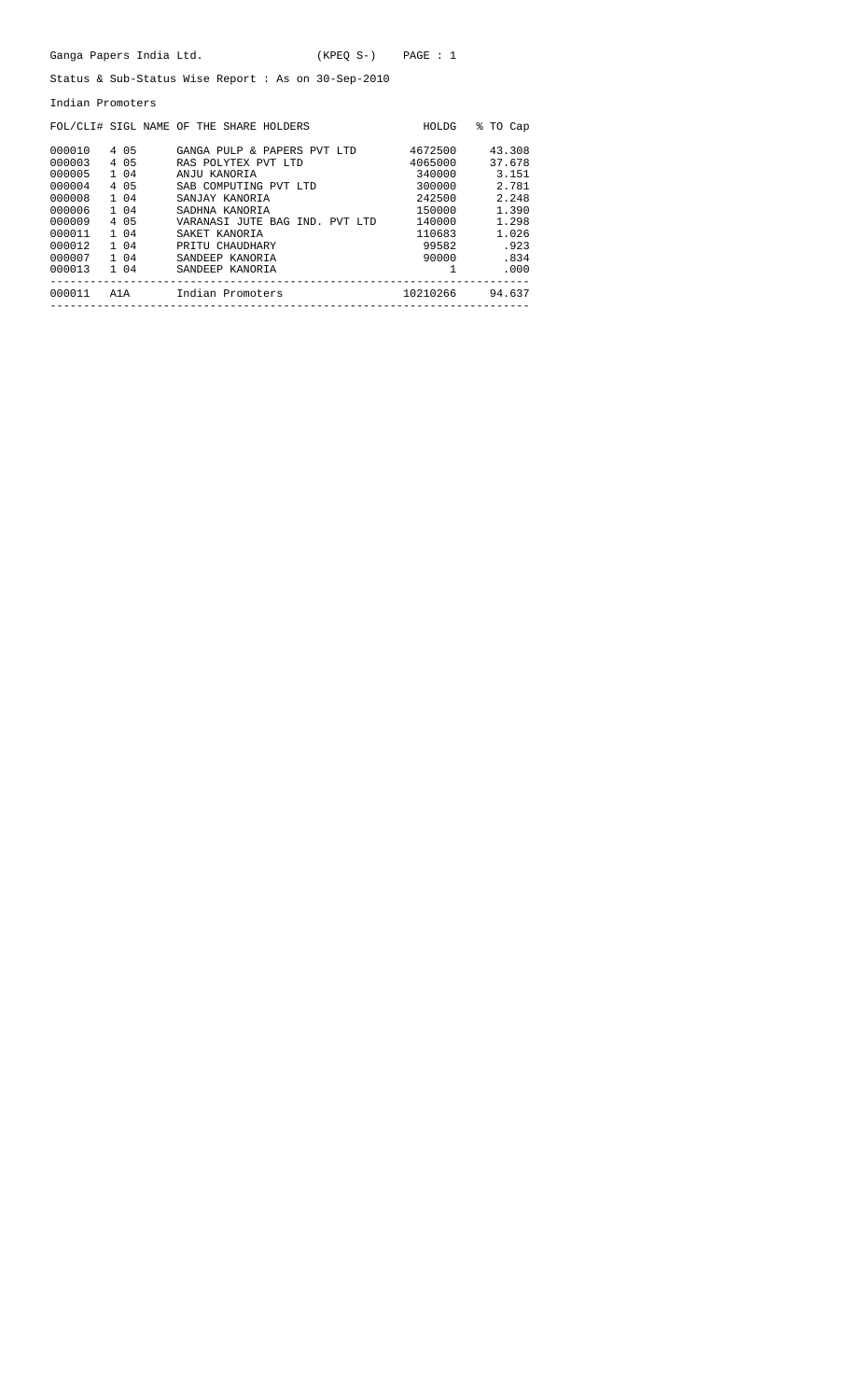|                  | Ganga Papers India Ltd.                             |                                             | $(KPEO S-)$ PAGE : 1       |                                                  |                |  |  |  |  |  |  |  |  |  |  |
|------------------|-----------------------------------------------------|---------------------------------------------|----------------------------|--------------------------------------------------|----------------|--|--|--|--|--|--|--|--|--|--|
|                  | Status & Sub-Status Wise Report : As on 30-Sep-2010 |                                             |                            |                                                  |                |  |  |  |  |  |  |  |  |  |  |
| Indian Promoters |                                                     |                                             |                            |                                                  |                |  |  |  |  |  |  |  |  |  |  |
|                  |                                                     | FOL/CLI# SIGL NAME OF THE SHARE HOLDERS     |                            |                                                  | HOLDG % TO Cap |  |  |  |  |  |  |  |  |  |  |
|                  |                                                     | 000010 4 05 GANGA PULP & PAPERS PVT LTD     |                            | 4672500 43.308                                   |                |  |  |  |  |  |  |  |  |  |  |
|                  |                                                     | 000003 4 05 RAS POLYTEX PVT LTD             |                            | 4065000 37.678                                   |                |  |  |  |  |  |  |  |  |  |  |
|                  | 000005 1 04                                         | ANJU KANORIA                                |                            |                                                  | 340000 3.151   |  |  |  |  |  |  |  |  |  |  |
|                  | 000004 4 05                                         | SAB COMPUTING PVT LTD 300000 2.781          |                            |                                                  |                |  |  |  |  |  |  |  |  |  |  |
|                  | 000008 1 04                                         | SANJAY KANORIA                              | 242500 2.248               |                                                  |                |  |  |  |  |  |  |  |  |  |  |
|                  | 000006 1 04                                         | SADHNA KANORIA                              | 150000 1.390               |                                                  |                |  |  |  |  |  |  |  |  |  |  |
|                  | 000009 4 05                                         | VARANASI JUTE BAG IND. PVT LTD 140000 1.298 |                            |                                                  |                |  |  |  |  |  |  |  |  |  |  |
|                  | 000011 1 04                                         | SAKET KANORIA                               |                            |                                                  | 110683 1.026   |  |  |  |  |  |  |  |  |  |  |
|                  | 000012 1 04                                         | PRITU CHAUDHARY                             |                            | 99582 .923                                       |                |  |  |  |  |  |  |  |  |  |  |
|                  | 000007 1 04                                         | SANDEEP KANORIA                             |                            |                                                  | 90000.834      |  |  |  |  |  |  |  |  |  |  |
|                  | ---------------                                     | 000013 1 04 SANDEEP KANORIA                 | __________________________ | $\sim$ $\sim$ $\sim$ $\sim$ $\sim$ $\sim$ $\sim$ | .000           |  |  |  |  |  |  |  |  |  |  |
|                  |                                                     | 000011 A1A Indian Promoters 10210266 94.637 | -----------------------    |                                                  |                |  |  |  |  |  |  |  |  |  |  |
|                  |                                                     |                                             |                            |                                                  |                |  |  |  |  |  |  |  |  |  |  |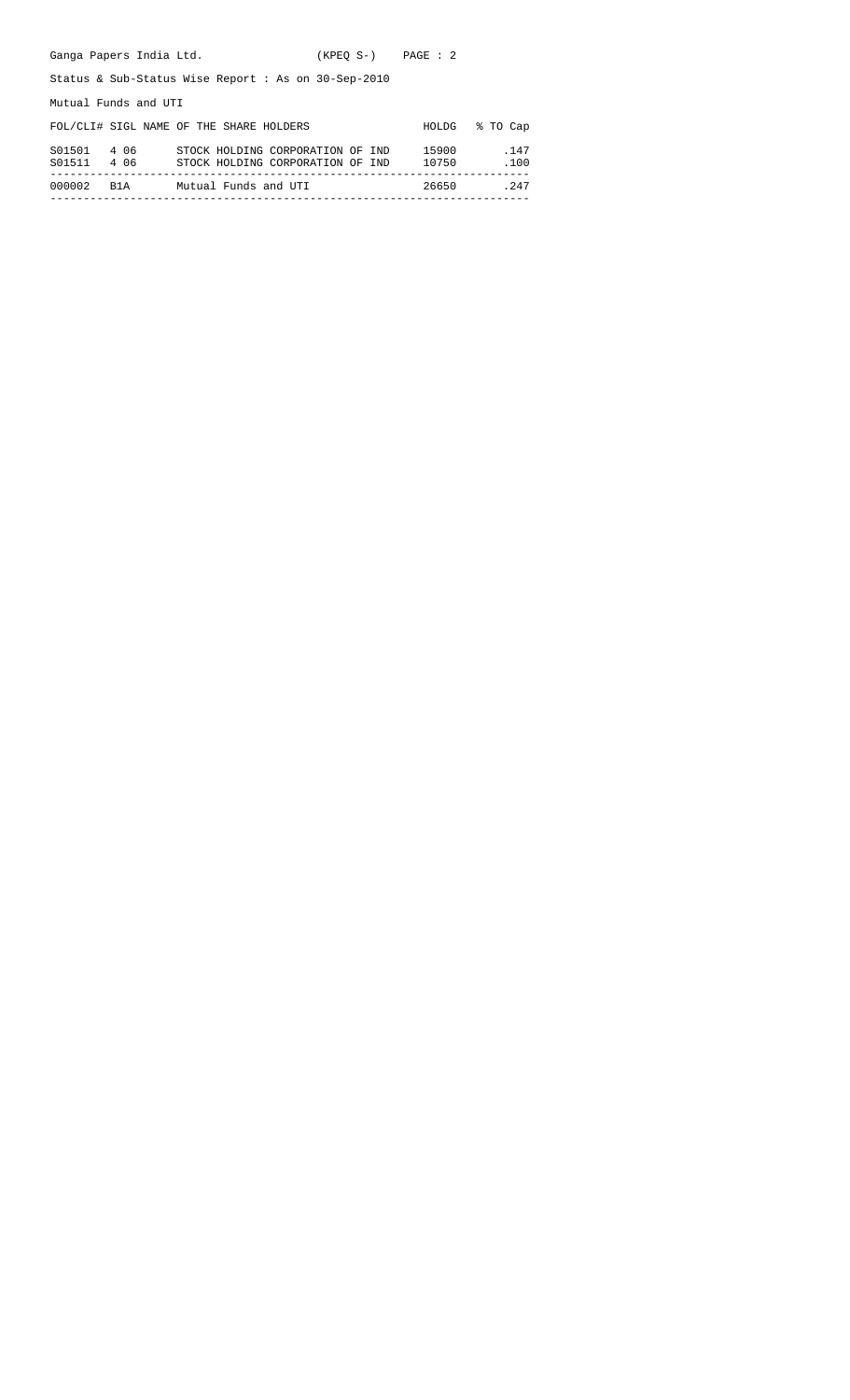| Ganga Papers India Ltd.    |                                                                      | $(KPEO S-)$ $PAGE: 2$ |                |              |  |  |  |  |  |  |  |  |
|----------------------------|----------------------------------------------------------------------|-----------------------|----------------|--------------|--|--|--|--|--|--|--|--|
|                            | Status & Sub-Status Wise Report : As on $30$ -Sep-2010               |                       |                |              |  |  |  |  |  |  |  |  |
| Mutual Funds and UTI       |                                                                      |                       |                |              |  |  |  |  |  |  |  |  |
|                            | FOL/CLI# SIGL NAME OF THE SHARE HOLDERS                              |                       | HOLDG          | % TO Cap     |  |  |  |  |  |  |  |  |
| S01501 4 06<br>S01511 4 06 | STOCK HOLDING CORPORATION OF IND<br>STOCK HOLDING CORPORATION OF IND |                       | 15900<br>10750 | .147<br>.100 |  |  |  |  |  |  |  |  |
| 000002<br>B1A              | Mutual Funds and UTI                                                 |                       | 26650          | . 247        |  |  |  |  |  |  |  |  |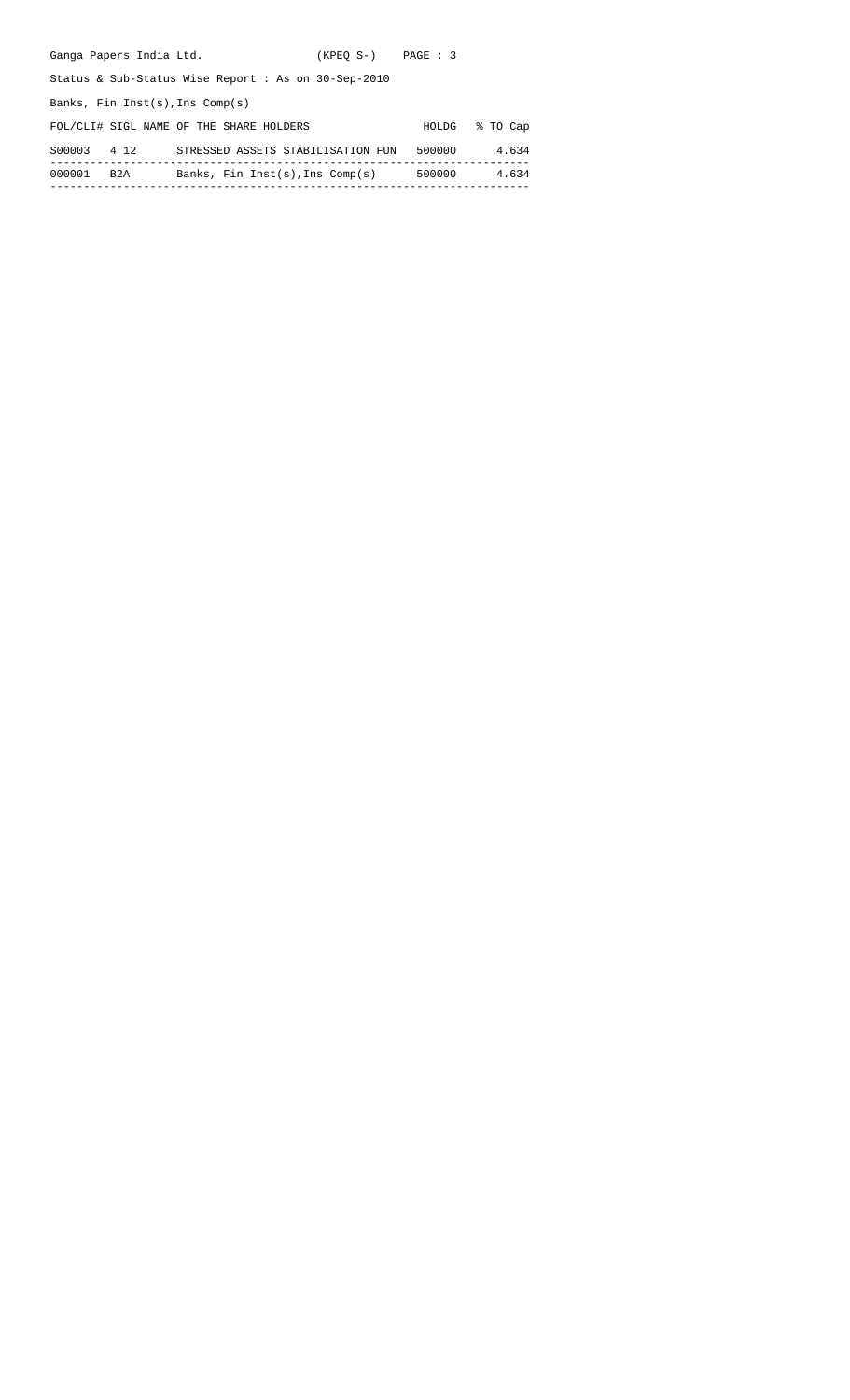| Ganga Papers India Ltd.           |                                                     | $(KPEO S-)$ $PAGE: 3$ |              |          |
|-----------------------------------|-----------------------------------------------------|-----------------------|--------------|----------|
|                                   | Status & Sub-Status Wise Report : As on 30-Sep-2010 |                       |              |          |
| Banks, Fin Inst(s), Ins $Comp(s)$ |                                                     |                       |              |          |
|                                   | FOL/CLI# SIGL NAME OF THE SHARE HOLDERS             |                       | <b>HOLDG</b> | % TO Cap |
| S00003<br>4 1 2                   | STRESSED ASSETS STABILISATION FUN                   |                       | 500000       | 4.634    |
|                                   |                                                     |                       |              |          |

000001 B2A Banks, Fin Inst(s),Ins Comp(s) 500000 4.634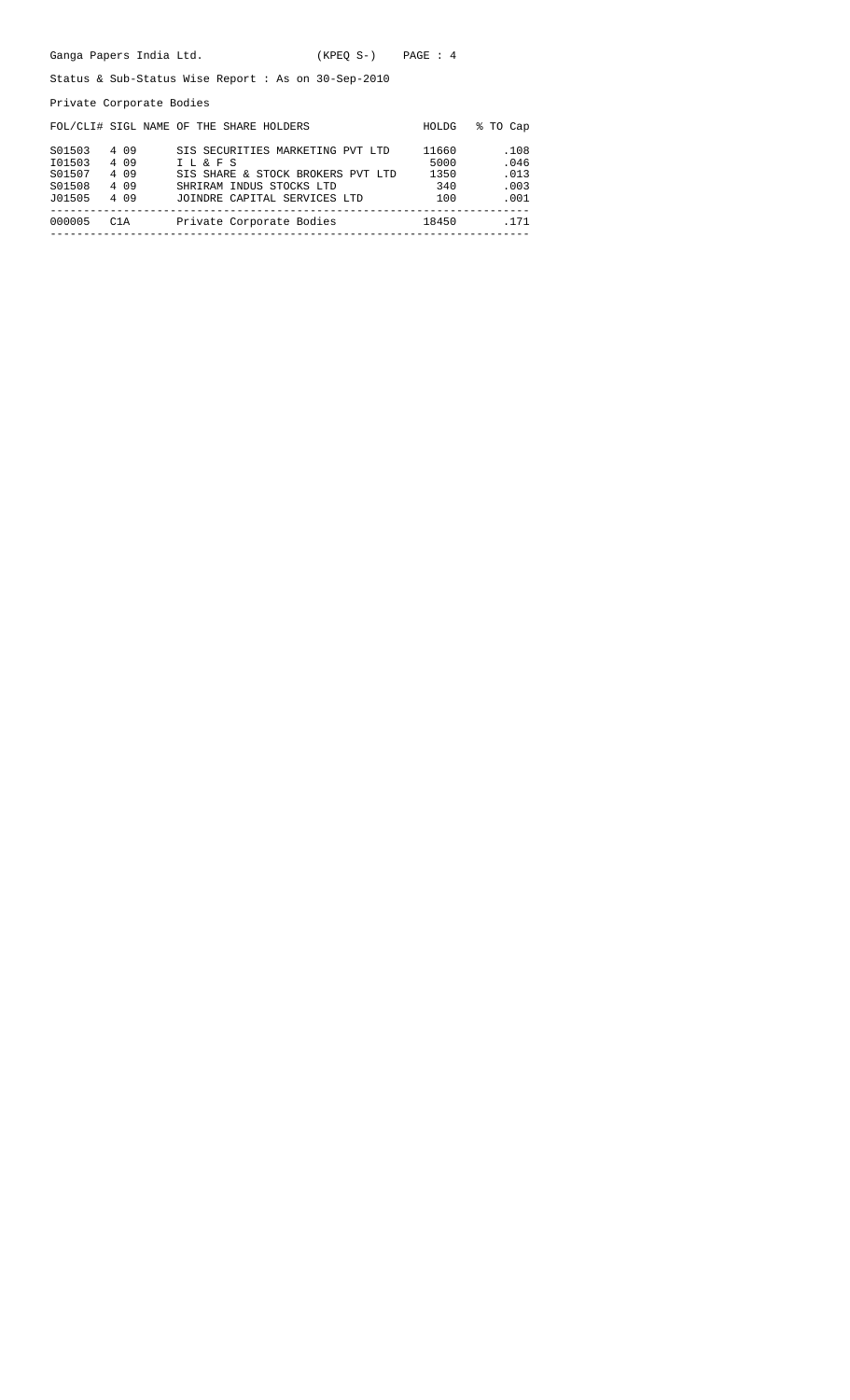|  | Ganga Papers India Ltd. |  |  | $(KPEO S-)$ |  | PAGE : 4 |  |  |
|--|-------------------------|--|--|-------------|--|----------|--|--|
|--|-------------------------|--|--|-------------|--|----------|--|--|

Status & Sub-Status Wise Report : As on 30-Sep-2010

Private Corporate Bodies

|        |       | FOL/CLI# SIGL NAME OF THE SHARE HOLDERS | HOLDG | % TO Cap |
|--------|-------|-----------------------------------------|-------|----------|
| S01503 | 4 0 9 | SIS SECURITIES MARKETING PVT LTD        | 11660 | .108     |
| I01503 | 4 0 9 | I L & F S                               | 5000  | .046     |
| S01507 | 4 0 9 | SIS SHARE & STOCK BROKERS PVT LTD       | 1350  | .013     |
| S01508 | 4 0 9 | SHRIRAM INDUS STOCKS LTD                | 340   | .003     |
| J01505 | 4 0 9 | JOINDRE CAPITAL SERVICES LTD            | 100   | .001     |
| 000005 | C1A   | Private Corporate Bodies                | 18450 | . 171    |
|        |       |                                         |       |          |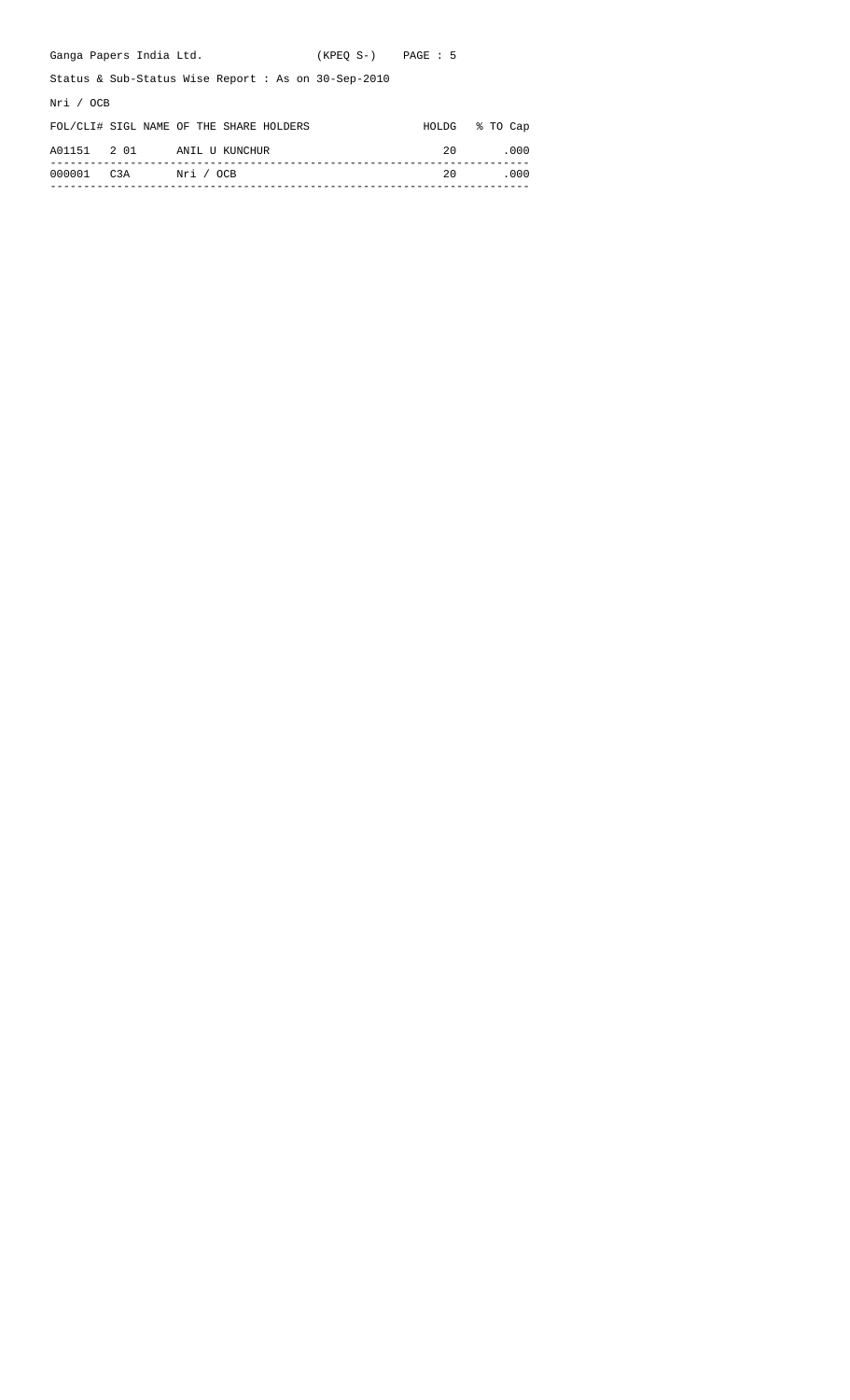| Ganga Papers India Ltd.                                | $(KPEO S-)$ PAGE : 5 |       |          |  |  |  |  |  |
|--------------------------------------------------------|----------------------|-------|----------|--|--|--|--|--|
| Status & Sub-Status Wise Report : As on $30$ -Sep-2010 |                      |       |          |  |  |  |  |  |
| Nri / OCB                                              |                      |       |          |  |  |  |  |  |
| FOL/CLI# SIGL NAME OF THE SHARE HOLDERS                |                      | HOLDG | % TO Cap |  |  |  |  |  |
| 2 0 1<br>A01151<br>ANIL U KUNCHUR                      |                      | 20    | .000     |  |  |  |  |  |
| C3A<br>Nri / OCB<br>000001                             |                      | 20    | .000     |  |  |  |  |  |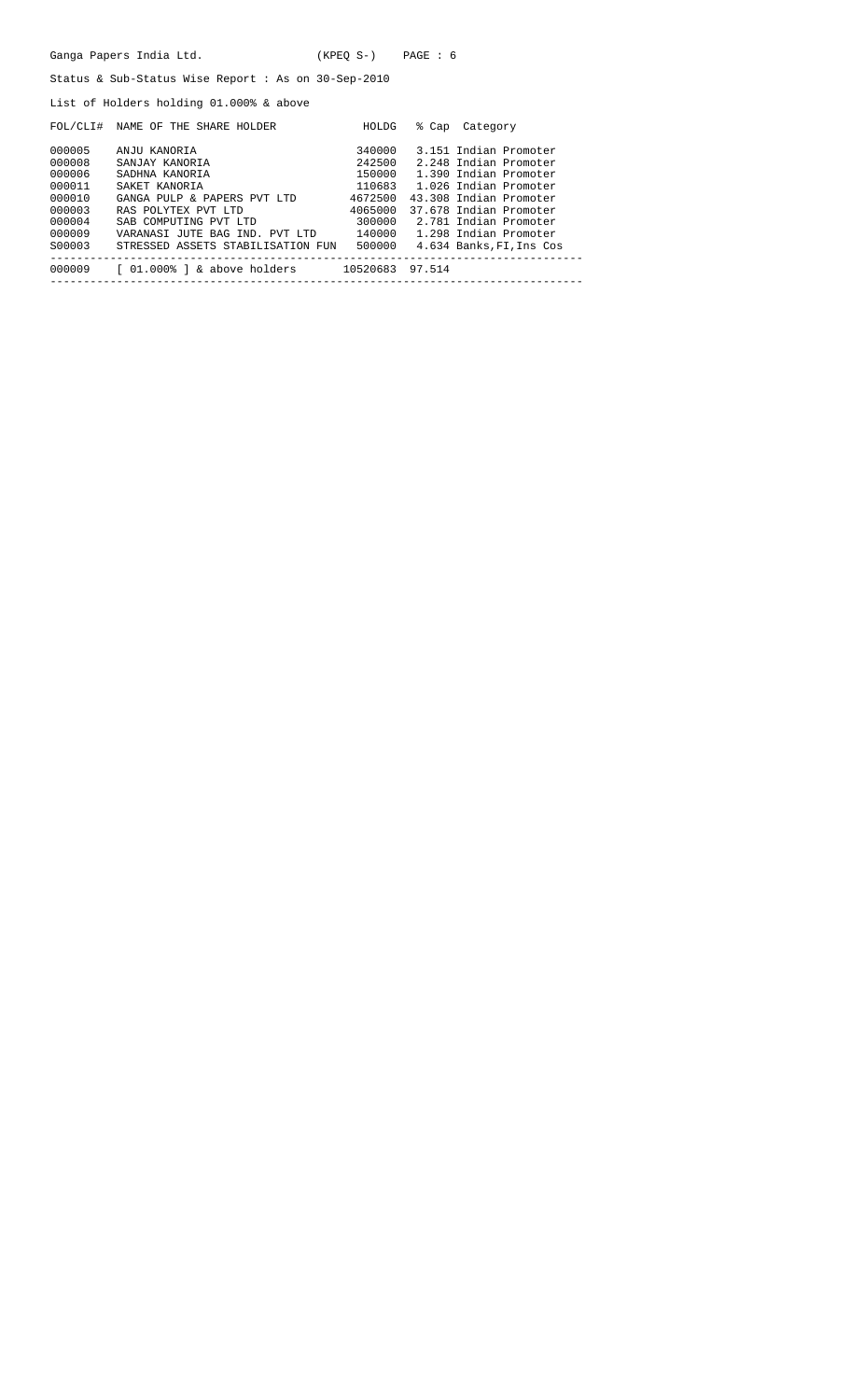|                                                                                        | Ganga Papers India Ltd.                                                                                                                                                                                                                                                                                                   | $(KPEO S-)$ PAGE : 6 |                                                                                                                                                                                  |
|----------------------------------------------------------------------------------------|---------------------------------------------------------------------------------------------------------------------------------------------------------------------------------------------------------------------------------------------------------------------------------------------------------------------------|----------------------|----------------------------------------------------------------------------------------------------------------------------------------------------------------------------------|
|                                                                                        | Status & Sub-Status Wise Report : As on $30$ -Sep-2010                                                                                                                                                                                                                                                                    |                      |                                                                                                                                                                                  |
|                                                                                        | List of Holders holding 01.000% & above                                                                                                                                                                                                                                                                                   |                      |                                                                                                                                                                                  |
|                                                                                        | FOL/CLI# NAME OF THE SHARE HOLDER                                                                                                                                                                                                                                                                                         | HOLDG                | % Cap Category                                                                                                                                                                   |
| 000005<br>000008<br>000006<br>000011<br>000010<br>000003<br>000004<br>000009<br>S00003 | ANJU KANORIA<br>SANJAY KANORIA<br>SADHNA KANORIA<br>SAKET KANORIA<br>GANGA PULP & PAPERS PVT LTD 4672500<br>RAS POLYTEX PVT LTD<br>SAB COMPUTING PVT LTD 300000 2.781 Indian Promoter<br>VARANASI JUTE BAG IND. PVT LTD 140000 1.298 Indian Promoter<br>STRESSED ASSETS STABILISATION FUN 500000 4.634 Banks, FI, Ins Cos | 4065000              | 340000 3.151 Indian Promoter<br>242500 2.248 Indian Promoter<br>150000 1.390 Indian Promoter<br>110683 1.026 Indian Promoter<br>43.308 Indian Promoter<br>37.678 Indian Promoter |
|                                                                                        | 000009 [ 01.000% ] & above holders 10520683 97.514                                                                                                                                                                                                                                                                        |                      |                                                                                                                                                                                  |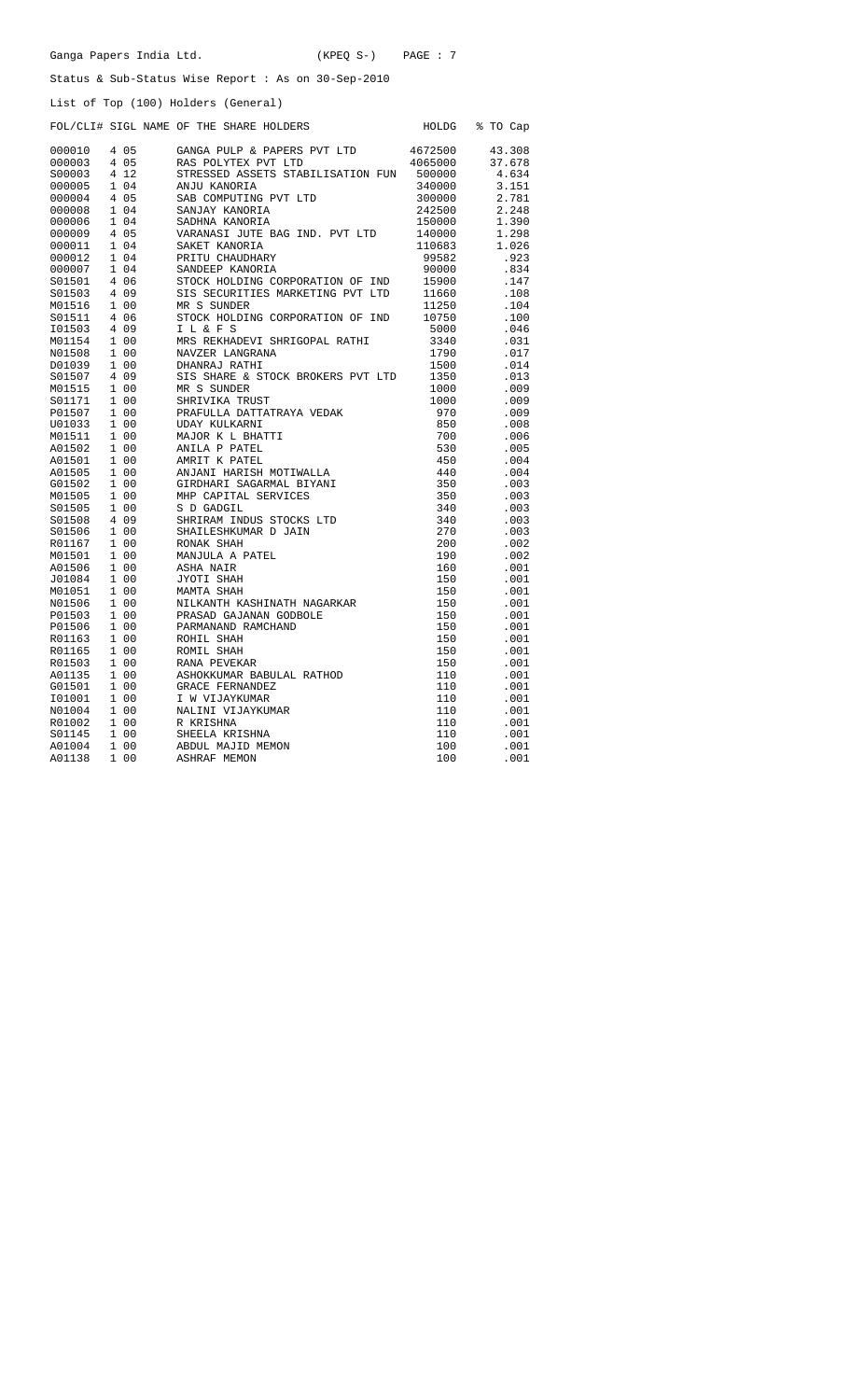|  | Ganga Papers India Ltd. |  |  | $(KPEQ S-)$ | PAGE: 7 |
|--|-------------------------|--|--|-------------|---------|
|--|-------------------------|--|--|-------------|---------|

Status & Sub-Status Wise Report : As on 30-Sep-2010

|                  |               | List of Top (100) Holders (General)     |            |              |
|------------------|---------------|-----------------------------------------|------------|--------------|
|                  |               | FOL/CLI# SIGL NAME OF THE SHARE HOLDERS | HOLDG      | % TO Cap     |
| 000010           | 4 0 5         | GANGA PULP & PAPERS PVT LTD             | 4672500    | 43.308       |
| 000003           | 4 0 5         | RAS POLYTEX PVT LTD                     | 4065000    | 37.678       |
| S00003           | 4 12          | STRESSED ASSETS STABILISATION FUN       | 500000     | 4.634        |
| 000005           | 1 04          | ANJU KANORIA                            | 340000     | 3.151        |
| 000004           | 4 0 5         | SAB COMPUTING PVT LTD                   | 300000     | 2.781        |
| 000008           | 1 04          | SANJAY KANORIA                          | 242500     | 2.248        |
| 000006           | 1 04          | SADHNA KANORIA                          | 150000     | 1.390        |
| 000009           | 4 0 5         | VARANASI JUTE BAG IND. PVT LTD          | 140000     | 1.298        |
| 000011           | 1 04          | SAKET KANORIA                           | 110683     | 1.026        |
| 000012           | 1 04          | PRITU CHAUDHARY                         | 99582      | .923         |
| 000007           | 1 04          | SANDEEP KANORIA                         | 90000      | .834         |
| S01501           | 4 06          | STOCK HOLDING CORPORATION OF IND        | 15900      | .147         |
| S01503           | 4 0 9         | SIS SECURITIES MARKETING PVT LTD        | 11660      | .108         |
| M01516           | 1 0 0         | MR S SUNDER                             | 11250      | .104         |
| S01511           | 4 0 6         | STOCK HOLDING CORPORATION OF IND        | 10750      | .100         |
| I01503           | 4 0 9         | I L & F S                               | 5000       | .046         |
| M01154           | 1 00          | MRS REKHADEVI SHRIGOPAL RATHI           | 3340       | .031         |
| N01508           | 1 00          | NAVZER LANGRANA                         | 1790       | .017         |
| D01039           | 1 0 0         | DHANRAJ RATHI                           | 1500       | .014         |
| S01507           | 4 0 9         | SIS SHARE & STOCK BROKERS PVT LTD       | 1350       | .013         |
| M01515           | 1 0 0         | MR S SUNDER                             | 1000       | .009         |
| S01171           | 1 0 0         | SHRIVIKA TRUST                          | 1000       | .009         |
| P01507           | 1 00          | PRAFULLA DATTATRAYA VEDAK               | 970        | .009         |
| U01033           | 1 0 0         | <b>UDAY KULKARNI</b>                    | 850        | .008         |
| M01511           | 1 00          | MAJOR K L BHATTI                        | 700        | .006         |
| A01502           | 1 00          | ANILA P PATEL                           | 530        | .005         |
| A01501           | 1 00          | AMRIT K PATEL                           | 450        | .004         |
| A01505           | 1 00          | ANJANI HARISH MOTIWALLA                 | 440        | .004         |
| G01502           | 1 0 0         | GIRDHARI SAGARMAL BIYANI                | 350        | .003         |
| M01505           | 1 00          | MHP CAPITAL SERVICES                    | 350        | .003         |
| S01505           | 1 0 0         | S D GADGIL                              | 340        | .003         |
| S01508           | 4 0 9         | SHRIRAM INDUS STOCKS LTD                | 340        | .003         |
| S01506           | 1 0 0         | SHAILESHKUMAR D JAIN                    | 270        | .003         |
| R01167           | 1 0 0         | RONAK SHAH                              | 200        | .002         |
| M01501           | 1 0 0         | MANJULA A PATEL                         | 190        | .002         |
| A01506           | 1 00          | ASHA NAIR                               | 160        | .001         |
| J01084           | 1 0 0         | JYOTI SHAH                              | 150        | .001         |
| M01051           | 1 0 0         | MAMTA SHAH                              | 150        | .001         |
| N01506           | 1 00          | NILKANTH KASHINATH NAGARKAR             | 150        | .001         |
| P01503           | 1 00          | PRASAD GAJANAN GODBOLE                  | 150        | .001         |
| P01506           | 1 00          | PARMANAND RAMCHAND                      | 150        | .001         |
| R01163           | 1 00          | ROHIL SHAH                              | 150        | .001         |
| R01165           | 1 0 0         | ROMIL SHAH                              | 150        | .001         |
| R01503           | 1 0 0         | RANA PEVEKAR                            | 150        | .001         |
| A01135           | 1 00          | ASHOKKUMAR BABULAL RATHOD               | 110        | .001         |
| G01501           | 1 00          | GRACE FERNANDEZ                         | 110        | .001         |
| I01001           | 1 00          | I W VIJAYKUMAR                          | 110        | .001         |
| N01004           | 1 00<br>1 0 0 | NALINI VIJAYKUMAR                       | 110<br>110 | .001         |
| R01002           | 1 0 0         | R KRISHNA                               | 110        | .001<br>.001 |
| S01145<br>A01004 | 1 0 0         | SHEELA KRISHNA                          | 100        | .001         |
|                  |               | ABDUL MAJID MEMON                       | 100        |              |
| A01138           | 1 00          | <b>ASHRAF MEMON</b>                     |            | .001         |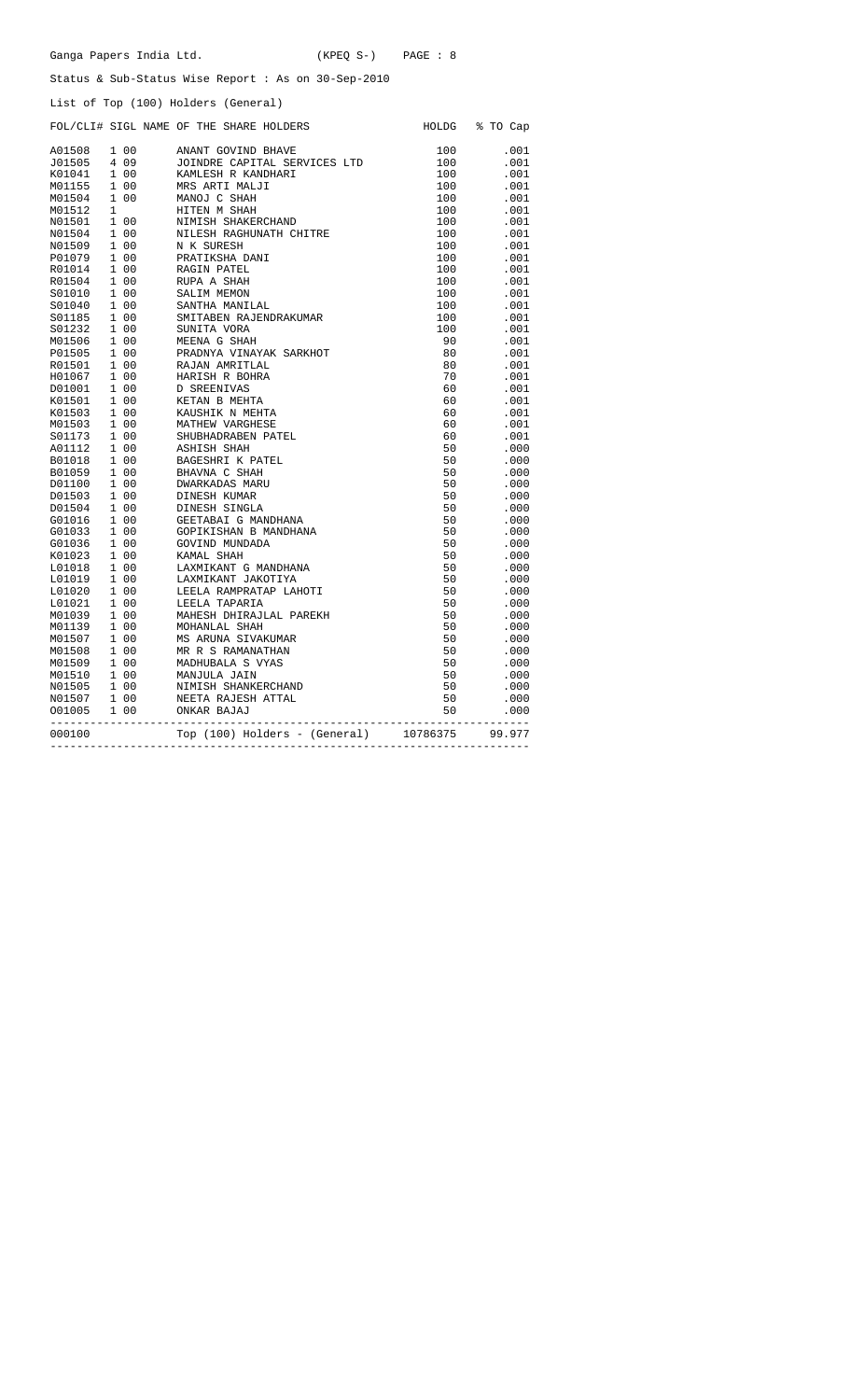|  | Ganga Papers India Ltd. |  | $(KPEO S-)$ | PAGE : 8 |  |
|--|-------------------------|--|-------------|----------|--|
|--|-------------------------|--|-------------|----------|--|

Status & Sub-Status Wise Report : As on 30-Sep-2010

List of Top (100) Holders (General)

|        |  | FOL/CLI# SIGL NAME OF THE SHARE HOLDERS                                                                                                                                                                                                                                       |     | HOLDG % TO Cap |
|--------|--|-------------------------------------------------------------------------------------------------------------------------------------------------------------------------------------------------------------------------------------------------------------------------------|-----|----------------|
|        |  | ANANT GOVIND BHAVE                                                                                                                                                                                                                                                            | 100 | .001           |
|        |  | JOINDRE CAPITAL SERVICES LTD                                                                                                                                                                                                                                                  | 100 | .001           |
|        |  | KAMLESH R KANDHARI                                                                                                                                                                                                                                                            | 100 | .001           |
|        |  | MRS ARTI MALJI                                                                                                                                                                                                                                                                | 100 | .001           |
|        |  | KAMLESH R KAI<br>MRS ARTI MAL<br>MANOJ C SHAH                                                                                                                                                                                                                                 | 100 | .001           |
|        |  |                                                                                                                                                                                                                                                                               | 100 | .001           |
|        |  |                                                                                                                                                                                                                                                                               | 100 | .001           |
|        |  | NILESH RAGHUNATH CHITRE                                                                                                                                                                                                                                                       | 100 | .001           |
|        |  |                                                                                                                                                                                                                                                                               | 100 | .001           |
|        |  | MANOU C SAAH<br>HITEN M SHAKERCHAND<br>NIMISH SHAKERCHAND<br>NILESH RAGHUNATH CI<br>N K SURESH<br>PRATIKSHA DANI                                                                                                                                                              | 100 | .001           |
|        |  | NAGIN PATEL<br>RUPA A SHAH<br>SALIM MEMON<br>SANTHA MANII<br>SANTHA RAL<br>SANTABEN RAL                                                                                                                                                                                       | 100 | .001           |
|        |  |                                                                                                                                                                                                                                                                               | 100 | .001           |
|        |  |                                                                                                                                                                                                                                                                               | 100 | .001           |
|        |  | SANTHA MANILAL                                                                                                                                                                                                                                                                | 100 | .001           |
|        |  | SMITABEN RAJENDRAKUMAR                                                                                                                                                                                                                                                        | 100 | .001           |
|        |  |                                                                                                                                                                                                                                                                               | 100 | .001           |
|        |  |                                                                                                                                                                                                                                                                               | 90  | .001           |
|        |  | PRADNYA VINAYAK SARKHOT                                                                                                                                                                                                                                                       | 80  | .001           |
|        |  |                                                                                                                                                                                                                                                                               | 80  | .001           |
|        |  | SUNITA VORA<br>MEENA G SHAH<br>PRADNYA VINAYAF<br>RAJAN AMRITLAL<br>HARISH R BOHRA                                                                                                                                                                                            | 70  | .001           |
|        |  |                                                                                                                                                                                                                                                                               | 60  | .001           |
|        |  |                                                                                                                                                                                                                                                                               | 60  | .001           |
|        |  |                                                                                                                                                                                                                                                                               | 60  | .001           |
|        |  |                                                                                                                                                                                                                                                                               | 60  | .001           |
|        |  | D SREENIVAS<br>D SREENIVAS<br>KETAN B MEHTA<br>MATHEW VARGHESE<br>SHUBHADRABEN PATEL                                                                                                                                                                                          | 60  | .001           |
|        |  |                                                                                                                                                                                                                                                                               | 50  | .000           |
|        |  |                                                                                                                                                                                                                                                                               | 50  | .000           |
|        |  |                                                                                                                                                                                                                                                                               | 50  | .000           |
|        |  |                                                                                                                                                                                                                                                                               | 50  | .000           |
|        |  |                                                                                                                                                                                                                                                                               | 50  | .000           |
|        |  |                                                                                                                                                                                                                                                                               | 50  | .000           |
|        |  |                                                                                                                                                                                                                                                                               | 50  | .000           |
|        |  |                                                                                                                                                                                                                                                                               | 50  | .000           |
|        |  |                                                                                                                                                                                                                                                                               | 50  | .000           |
|        |  |                                                                                                                                                                                                                                                                               | 50  | .000           |
|        |  |                                                                                                                                                                                                                                                                               | 50  | .000           |
|        |  |                                                                                                                                                                                                                                                                               | 50  | .000           |
|        |  | LEELA RAMPRATAP LAHOTI                                                                                                                                                                                                                                                        | 50  | .000           |
|        |  |                                                                                                                                                                                                                                                                               | 50  | .000           |
|        |  |                                                                                                                                                                                                                                                                               | 50  | .000           |
|        |  |                                                                                                                                                                                                                                                                               | 50  | .000           |
|        |  |                                                                                                                                                                                                                                                                               | 50  | .000           |
|        |  |                                                                                                                                                                                                                                                                               | 50  | .000           |
|        |  |                                                                                                                                                                                                                                                                               | 50  | .000           |
|        |  |                                                                                                                                                                                                                                                                               | 50  | .000           |
|        |  | SHUBHADRABEN PATEL<br>SHUBHADRABEN PATEL<br>ASHISH SHAH<br>BAGESHRI K PATEL<br>BHAVNA C SHAH<br>DINESH KUMAR<br>DINESH KUMAR<br>DINESH KUMAR<br>GETABAI G MANDHANA<br>GOVIND MUNDADA<br>KAMAL GETABAI G MANDHANA<br>GOVIND MUNDADA<br>KAMAL GARINIKANT<br>NIMISH SHANKERCHAND | 50  | .000           |
|        |  | NEETA RAJESH ATTAL                                                                                                                                                                                                                                                            | 50  | .000           |
|        |  |                                                                                                                                                                                                                                                                               | 50  | .000           |
|        |  |                                                                                                                                                                                                                                                                               |     |                |
| 000100 |  | 0 Top (100) Holders - (General) 10786375<br>---------------------------------                                                                                                                                                                                                 |     | 99.977         |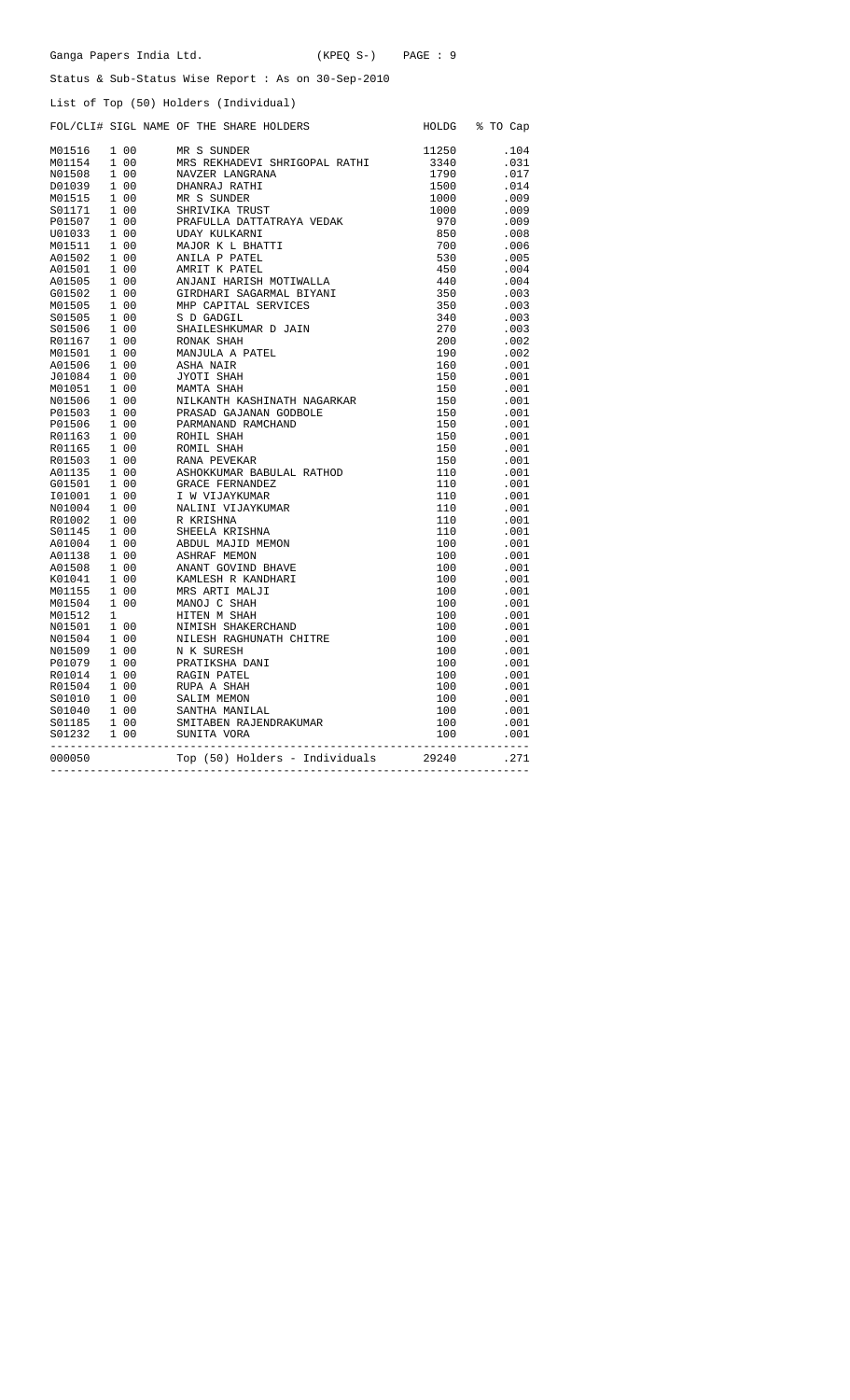|  | Status & Sub-Status Wise Report : As on 30-Sep-2010                                                                                                                                                                                          |                                           |                |
|--|----------------------------------------------------------------------------------------------------------------------------------------------------------------------------------------------------------------------------------------------|-------------------------------------------|----------------|
|  | List of Top (50) Holders (Individual)                                                                                                                                                                                                        |                                           |                |
|  | FOL/CLI# SIGL NAME OF THE SHARE HOLDERS                                                                                                                                                                                                      |                                           | HOLDG % TO Cap |
|  |                                                                                                                                                                                                                                              | 11250                                     | .104           |
|  |                                                                                                                                                                                                                                              | 3340<br>1790<br>1500                      | .031           |
|  |                                                                                                                                                                                                                                              |                                           | .017           |
|  |                                                                                                                                                                                                                                              |                                           | .014           |
|  |                                                                                                                                                                                                                                              | 1000                                      | .009           |
|  |                                                                                                                                                                                                                                              |                                           | .009           |
|  |                                                                                                                                                                                                                                              |                                           | .009           |
|  |                                                                                                                                                                                                                                              | 1000<br>970<br>850                        | .008           |
|  |                                                                                                                                                                                                                                              | 700                                       | .006           |
|  |                                                                                                                                                                                                                                              | 530                                       | .005           |
|  |                                                                                                                                                                                                                                              | 450                                       | .004           |
|  |                                                                                                                                                                                                                                              | 440                                       | .004           |
|  |                                                                                                                                                                                                                                              | 350<br>350                                | .003           |
|  |                                                                                                                                                                                                                                              |                                           | .003           |
|  |                                                                                                                                                                                                                                              | 340                                       | .003           |
|  |                                                                                                                                                                                                                                              | 270                                       | .003           |
|  |                                                                                                                                                                                                                                              | 200<br>190                                | .002           |
|  |                                                                                                                                                                                                                                              |                                           | .002           |
|  |                                                                                                                                                                                                                                              | $\frac{150}{160}$                         | .001           |
|  |                                                                                                                                                                                                                                              | 150                                       | .001           |
|  |                                                                                                                                                                                                                                              |                                           | .001           |
|  |                                                                                                                                                                                                                                              | 150<br>150<br>150                         | .001           |
|  |                                                                                                                                                                                                                                              |                                           | .001           |
|  |                                                                                                                                                                                                                                              | 150                                       | .001           |
|  |                                                                                                                                                                                                                                              | 150                                       | .001           |
|  |                                                                                                                                                                                                                                              | 150<br>150                                | .001           |
|  |                                                                                                                                                                                                                                              |                                           | .001           |
|  |                                                                                                                                                                                                                                              | 110                                       | .001           |
|  |                                                                                                                                                                                                                                              | 110                                       | .001           |
|  |                                                                                                                                                                                                                                              | $\begin{array}{c} 110 \\ 110 \end{array}$ | .001           |
|  |                                                                                                                                                                                                                                              |                                           | .001           |
|  |                                                                                                                                                                                                                                              | 110                                       | .001           |
|  |                                                                                                                                                                                                                                              | 110                                       | .001           |
|  |                                                                                                                                                                                                                                              | 100                                       | .001           |
|  |                                                                                                                                                                                                                                              | 100                                       | .001           |
|  |                                                                                                                                                                                                                                              | $\begin{array}{c} 100 \\ 100 \end{array}$ | .001           |
|  |                                                                                                                                                                                                                                              | 100                                       | .001           |
|  |                                                                                                                                                                                                                                              | 100                                       | .001<br>.001   |
|  |                                                                                                                                                                                                                                              |                                           | .001           |
|  |                                                                                                                                                                                                                                              | 100<br>100                                | .001           |
|  |                                                                                                                                                                                                                                              | 100                                       | .001           |
|  |                                                                                                                                                                                                                                              | 100                                       | .001           |
|  |                                                                                                                                                                                                                                              | 100                                       | .001           |
|  |                                                                                                                                                                                                                                              |                                           | .001           |
|  |                                                                                                                                                                                                                                              | 100<br>100                                | .001           |
|  |                                                                                                                                                                                                                                              | 100                                       | .001           |
|  |                                                                                                                                                                                                                                              | 100                                       | .001           |
|  |                                                                                                                                                                                                                                              | 100                                       | .001           |
|  |                                                                                                                                                                                                                                              | 100                                       | .001           |
|  |                                                                                                                                                                                                                                              | -----------------                         |                |
|  | FOL/CLI+ SIGL NAME OF THE SHARE MOLDERS<br>MOISIS 100 MR S SUNDER<br>MOISIS 100 MR S SUNDER<br>MOISIS 100 MR S SUNDER<br>NOISIS 100 MR S SUNDER<br>DOISIS 100 DEANFALT SHATHI<br>DOISIS 100 DEANFALT ATHER<br>SOLUTE 100 SERVILLA DATTATRAYA | 29240                                     | .271           |

Ganga Papers India Ltd. (KPEQ S-) PAGE : 9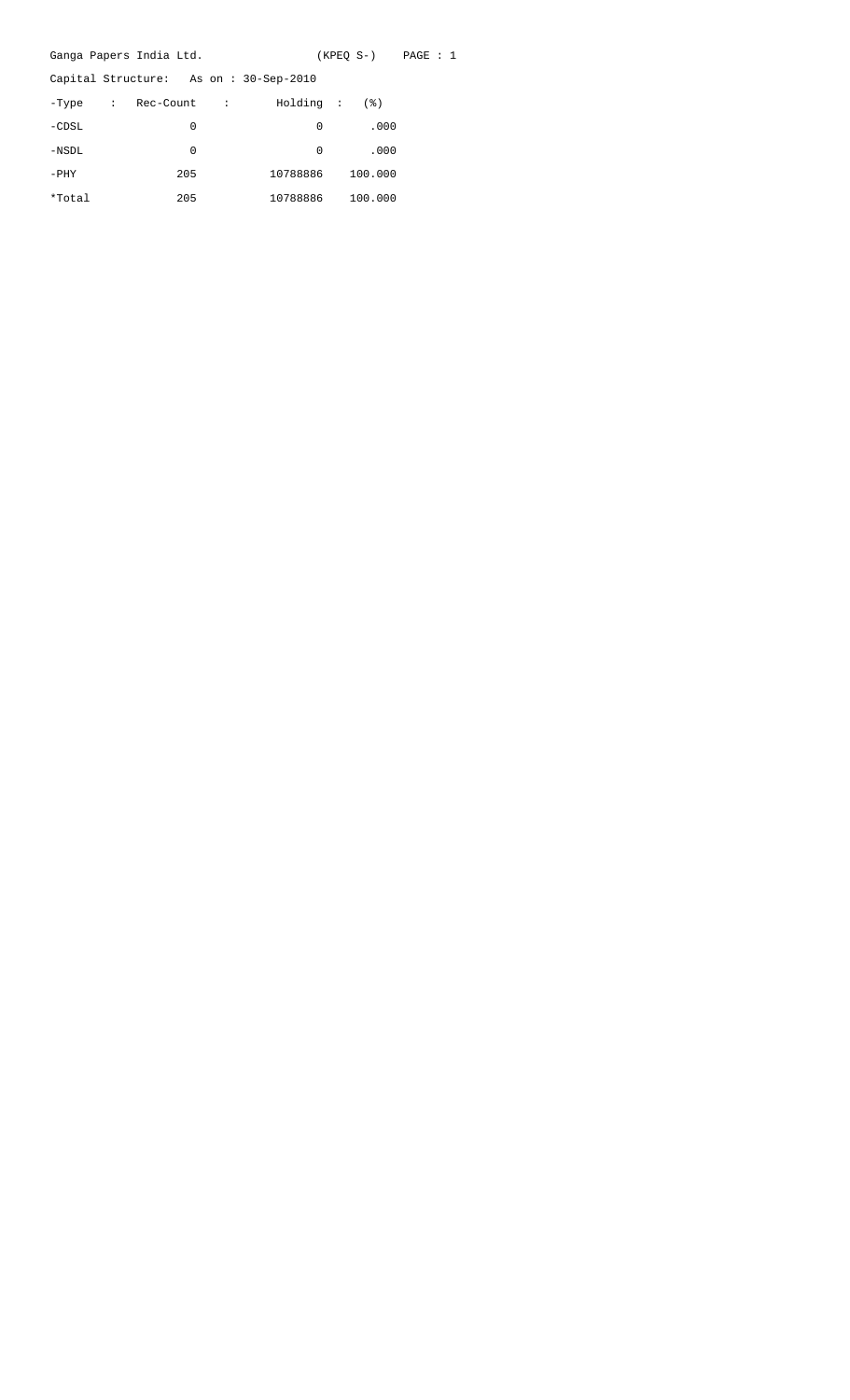|          | Ganga Papers India Ltd. |   |                                       | $(KPEO S-)$ PAGE : 1 |  |  |
|----------|-------------------------|---|---------------------------------------|----------------------|--|--|
|          |                         |   | Capital Structure: As on: 30-Sep-2010 |                      |  |  |
| -Type    | : Rec-Count :           |   | Holding :                             | (응)                  |  |  |
| $-CDSL$  |                         | 0 | 0                                     | .000                 |  |  |
| $-$ NSDL |                         | 0 | 0                                     | .000                 |  |  |
| $-$ PHY  | 205                     |   | 10788886                              | 100.000              |  |  |
| *Total   | 205                     |   | 10788886                              | 100.000              |  |  |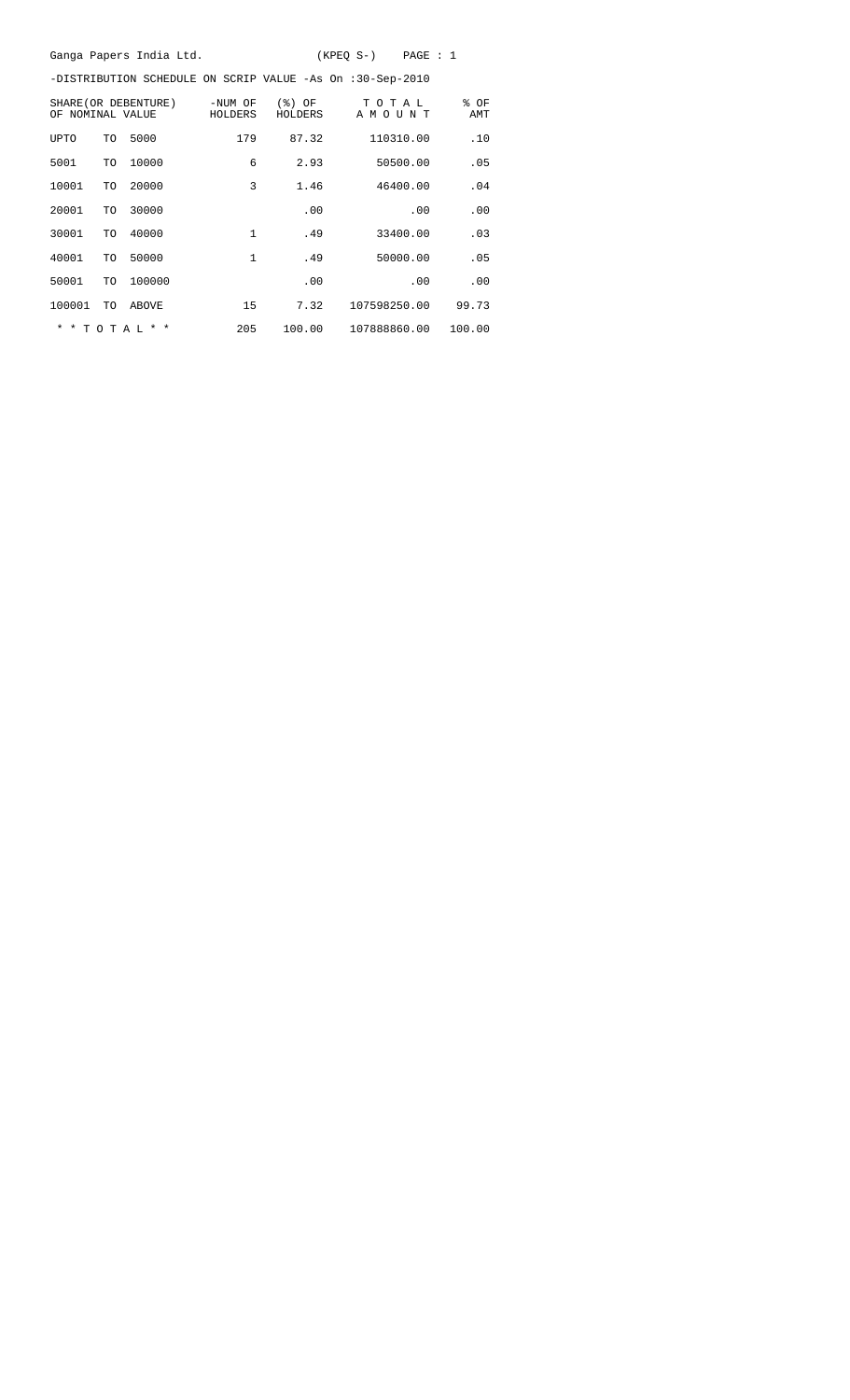|                  |           | Ganga Papers India Ltd. |                    |                     | $(KPEQ S-)$<br>PAGE : 1                                   |             |
|------------------|-----------|-------------------------|--------------------|---------------------|-----------------------------------------------------------|-------------|
|                  |           |                         |                    |                     | -DISTRIBUTION SCHEDULE ON SCRIP VALUE -As On :30-Sep-2010 |             |
| OF NOMINAL VALUE |           | SHARE (OR DEBENTURE)    | -NUM OF<br>HOLDERS | $(%)$ OF<br>HOLDERS | TOTAL<br>AMOUNT                                           | % OF<br>AMT |
| UPTO             | TO        | 5000                    | 179                | 87.32               | 110310.00                                                 | .10         |
| 5001             | TO        | 10000                   | 6                  | 2.93                | 50500.00                                                  | .05         |
| 10001            | TO        | 20000                   | 3                  | 1.46                | 46400.00                                                  | .04         |
| 20001            | TO        | 30000                   |                    | .00                 | .00                                                       | .00         |
| 30001            | TO        | 40000                   | 1                  | .49                 | 33400.00                                                  | .03         |
| 40001            | TO        | 50000                   | $\mathbf{1}$       | .49                 | 50000.00                                                  | .05         |
| 50001            | TO        | 100000                  |                    | .00                 | .00                                                       | .00         |
| 100001           | <b>TO</b> | ABOVE                   | 15                 | 7.32                | 107598250.00                                              | 99.73       |
|                  |           | $*$ * TOTAL * *         | 205                | 100.00              | 107888860.00                                              | 100.00      |